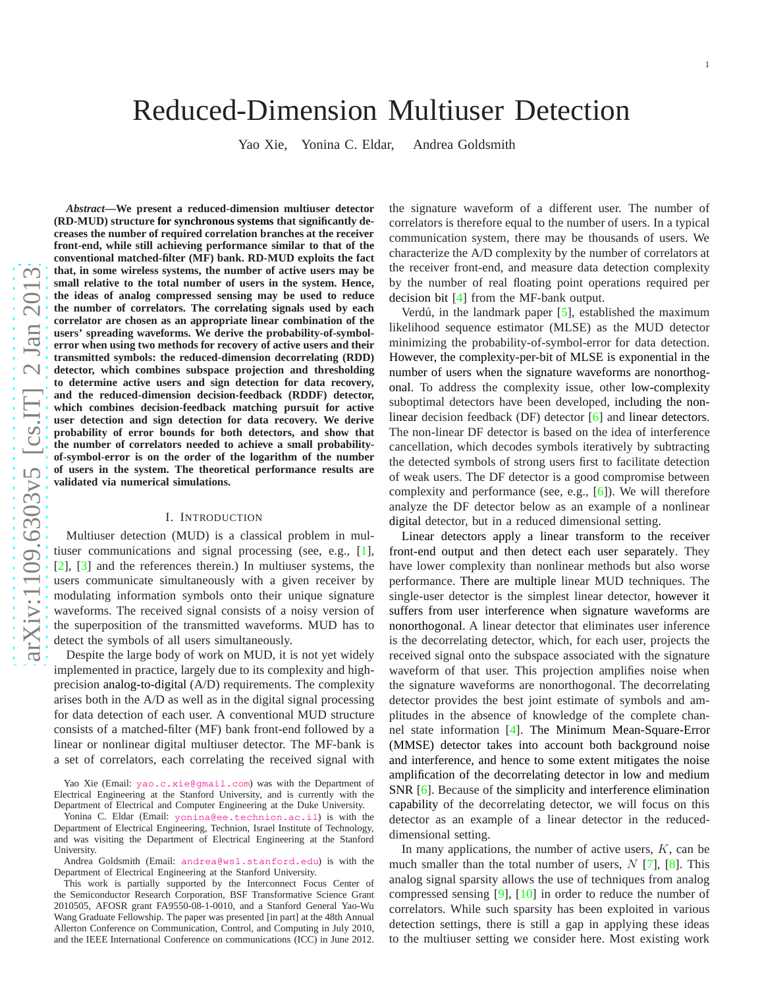# Reduced-Dimension Multiuser Detection

Yao Xie, Yonina C. Eldar, Andrea Goldsmith

*Abstract***—We present a reduced-dimension multiuser detector (RD-MUD) structure for synchronous systems that significantly decreases the number of required correlation branches at the receiver front-end, while still achieving performance similar to that of the conventional matched-filter (MF) bank. RD-MUD exploits the fact that, in some wireless systems, the number of active users may be small relative to the total number of users in the system. Hence, the ideas of analog compressed sensing may be used to reduce the number of correlators. The correlating signals used by each correlator are chosen as an appropriate linear combination of the users' spreading waveforms. We derive the probability-of-symbolerror when using two methods for recovery of active users and their transmitted symbols: the reduced-dimension decorrelating (RDD) detector, which combines subspace projection and thresholding to determine active users and sign detection for data recovery, and the reduced-dimension decision-feedback (RDDF) detector, which combines decision-feedback matching pursuit for active user detection and sign detection for data recovery. We derive probability of error bounds for both detectors, and show tha t the number of correlators needed to achieve a small probabilityof-symbol-error is on the order of the logarithm of the number of users in the system. The theoretical performance results are validated via numerical simulations.**

## I. INTRODUCTION

Multiuser detection (MUD) is a classical problem in multiuser communications and signal processing (see, e.g., [\[1\]](#page-15-0), [\[2\]](#page-15-1), [\[3\]](#page-15-2) and the references therein.) In multiuser systems, the users communicate simultaneously with a given receiver by modulating information symbols onto their unique signatur e waveforms. The received signal consists of a noisy version o f the superposition of the transmitted waveforms. MUD has to detect the symbols of all users simultaneously.

Despite the large body of work on MUD, it is not yet widely implemented in practice, largely due to its complexity and highprecision analog-to-digital (A/D) requirements. The complexity arises both in the A/D as well as in the digital signal processing for data detection of each user. A conventional MUD structur e consists of a matched-filter (MF) bank front-end followed by a linear or nonlinear digital multiuser detector. The MF-bank is a set of correlators, each correlating the received signal with the signature waveform of a different user. The number of correlators is therefore equal to the number of users. In a typical communication system, there may be thousands of users. We characterize the A/D complexity by the number of correlators at the receiver front-end, and measure data detection complexity by the number of real floating point operations required per decision bit [ [4\]](#page-15-3) from the MF-bank output.

Verdú, in the landmark paper  $[5]$  $[5]$ , established the maximum likelihood sequence estimator (MLSE) as the MUD detector minimizing the probability-of-symbol-error for data detection. However, the complexity-per-bit of MLSE is exponential in the number of users when the signature waveforms are nonorthogonal. To address the complexity issue, other low-complexity suboptimal detectors have been developed, including the nonlinear decision feedback (DF) detector [\[6\]](#page-15-5) and linear detectors. The non-linear DF detector is based on the idea of interference cancellation, which decodes symbols iteratively by subtracting the detected symbols of strong users first to facilitate detection of weak users. The DF detector is a good compromise between complexity and performance (see, e.g., [ [6\]](#page-15-5)). We will therefore analyze the DF detector below as an example of a nonlinear digital detector, but in a reduced dimensional setting.

Linear detectors apply a linear transform to the receiver front-end output and then detect each user separately. They have lower complexity than nonlinear methods but also worse performance. There are multiple linear MUD techniques. The single-user detector is the simplest linear detector, however it suffers from user interference when signature waveforms ar e nonorthogonal. A linear detector that eliminates user inference is the decorrelating detector, which, for each user, projects the received signal onto the subspace associated with the signature waveform of that user. This projection amplifies noise when the signature waveforms are nonorthogonal. The decorrelating detector provides the best joint estimate of symbols and amplitudes in the absence of knowledge of the complete channel state information [\[4\]](#page-15-3). The Minimum Mean-Square-Error (MMSE) detector takes into account both background noise and interference, and hence to some extent mitigates the noise amplification of the decorrelating detector in low and mediu m SNR [[6\]](#page-15-5). Because of the simplicity and interference elimination capability of the decorrelating detector, we will focus on this detector as an example of a linear detector in the reduceddimensional setting.

In many applications, the number of active users,  $K$ , can be much smaller than the total number of users,  $N$  [[7\]](#page-15-6), [[8\]](#page-15-7). This analog signal sparsity allows the use of techniques from analog compressed sensing [ [9\]](#page-15-8), [\[10\]](#page-15-9) in order to reduce the number of correlators. While such sparsity has been exploited in various detection settings, there is still a gap in applying these ideas to the multiuser setting we consider here. Most existing wor k

Yao Xie (Email: [yao.c.xie@gmail.com](mailto:yao.c.xie@gmail.com)) was with the Department of Electrical Engineering at the Stanford University, and is currently with the Department of Electrical and Computer Engineering at the Duke University.

Yonina C. Eldar (Email: [yonina@ee.technion.ac.il](mailto:yonina@ee.technion.ac.il)) is with the Department of Electrical Engineering, Technion, Israel Institute of Technology, and was visiting the Department of Electrical Engineering at the Stanford University.

Andrea Goldsmith (Email: [andrea@wsl.stanford.edu](mailto:andrea@wsl.stanford.edu)) is with the Department of Electrical Engineering at the Stanford University.

This work is partially supported by the Interconnect Focus Center of the Semiconductor Research Corporation, BSF Transformative Science Grant 2010505, AFOSR grant FA9550-08-1-0010, and a Stanford General Yao-Wu Wang Graduate Fellowship. The paper was presented [in part] at the 48th Annual Allerton Conference on Communication, Control, and Computing in July 2010, and the IEEE International Conference on communications (ICC) in June 2012.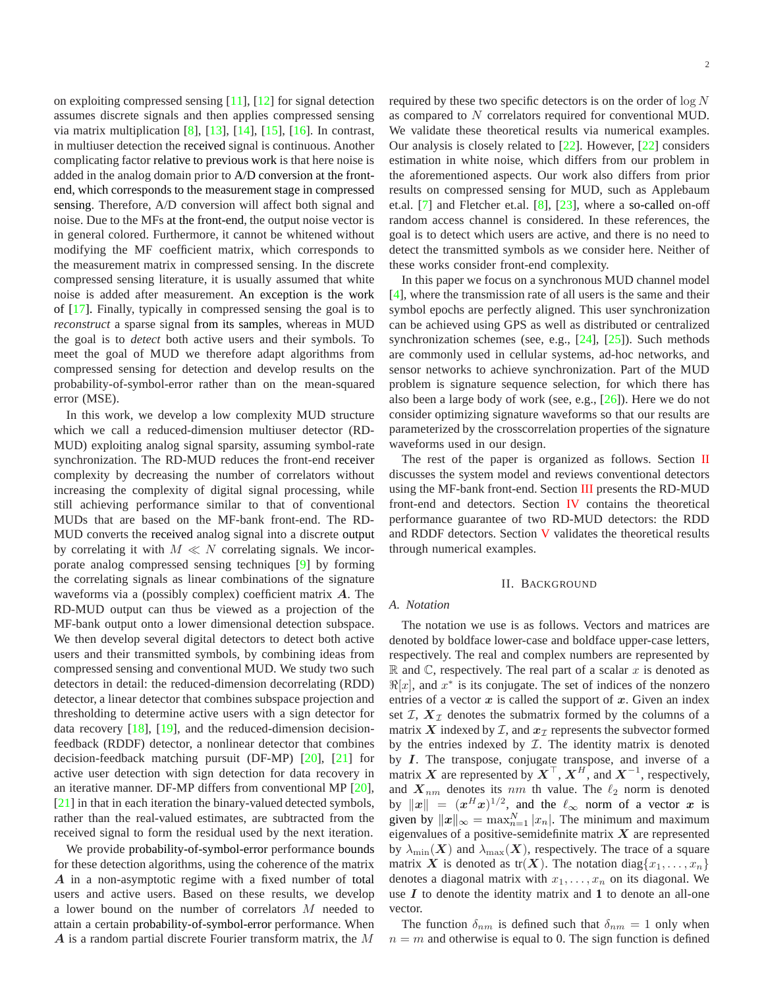on exploiting compressed sensing [\[11\]](#page-15-10), [\[12\]](#page-15-11) for signal detection assumes discrete signals and then applies compressed sensing via matrix multiplication [\[8\]](#page-15-7), [\[13\]](#page-15-12), [\[14\]](#page-16-0), [\[15\]](#page-16-1), [\[16\]](#page-16-2). In contrast, in multiuser detection the received signal is continuous. Another complicating factor relative to previous work is that here noise is added in the analog domain prior to A/D conversion at the frontend, which corresponds to the measurement stage in compressed sensing. Therefore, A/D conversion will affect both signal and noise. Due to the MFs at the front-end, the output noise vector is in general colored. Furthermore, it cannot be whitened without modifying the MF coefficient matrix, which corresponds to the measurement matrix in compressed sensing. In the discrete compressed sensing literature, it is usually assumed that white noise is added after measurement. An exception is the work of [\[17\]](#page-16-3). Finally, typically in compressed sensing the goal is to *reconstruct* a sparse signal from its samples, whereas in MUD the goal is to *detect* both active users and their symbols. To meet the goal of MUD we therefore adapt algorithms from compressed sensing for detection and develop results on the probability-of-symbol-error rather than on the mean-squared error (MSE).

In this work, we develop a low complexity MUD structure which we call a reduced-dimension multiuser detector (RD-MUD) exploiting analog signal sparsity, assuming symbol-rate synchronization. The RD-MUD reduces the front-end receiver complexity by decreasing the number of correlators without increasing the complexity of digital signal processing, while still achieving performance similar to that of conventional MUDs that are based on the MF-bank front-end. The RD-MUD converts the received analog signal into a discrete output by correlating it with  $M \ll N$  correlating signals. We incorporate analog compressed sensing techniques [\[9\]](#page-15-8) by forming the correlating signals as linear combinations of the signature waveforms via a (possibly complex) coefficient matrix A. The RD-MUD output can thus be viewed as a projection of the MF-bank output onto a lower dimensional detection subspace. We then develop several digital detectors to detect both active users and their transmitted symbols, by combining ideas from compressed sensing and conventional MUD. We study two such detectors in detail: the reduced-dimension decorrelating (RDD) detector, a linear detector that combines subspace projection and thresholding to determine active users with a sign detector for data recovery [\[18\]](#page-16-4), [\[19\]](#page-16-5), and the reduced-dimension decisionfeedback (RDDF) detector, a nonlinear detector that combines decision-feedback matching pursuit (DF-MP) [\[20\]](#page-16-6), [\[21\]](#page-16-7) for active user detection with sign detection for data recovery in an iterative manner. DF-MP differs from conventional MP [\[20\]](#page-16-6), [\[21\]](#page-16-7) in that in each iteration the binary-valued detected symbols, rather than the real-valued estimates, are subtracted from the received signal to form the residual used by the next iteration.

We provide probability-of-symbol-error performance bounds for these detection algorithms, using the coherence of the matrix A in a non-asymptotic regime with a fixed number of total users and active users. Based on these results, we develop a lower bound on the number of correlators M needed to attain a certain probability-of-symbol-error performance. When A is a random partial discrete Fourier transform matrix, the M

required by these two specific detectors is on the order of  $\log N$ as compared to N correlators required for conventional MUD. We validate these theoretical results via numerical examples. Our analysis is closely related to [\[22\]](#page-16-8). However, [\[22\]](#page-16-8) considers estimation in white noise, which differs from our problem in the aforementioned aspects. Our work also differs from prior results on compressed sensing for MUD, such as Applebaum et.al. [\[7\]](#page-15-6) and Fletcher et.al. [\[8\]](#page-15-7), [\[23\]](#page-16-9), where a so-called on-off random access channel is considered. In these references, the goal is to detect which users are active, and there is no need to detect the transmitted symbols as we consider here. Neither of these works consider front-end complexity.

In this paper we focus on a synchronous MUD channel model [\[4\]](#page-15-3), where the transmission rate of all users is the same and their symbol epochs are perfectly aligned. This user synchronization can be achieved using GPS as well as distributed or centralized synchronization schemes (see, e.g., [\[24\]](#page-16-10), [\[25\]](#page-16-11)). Such methods are commonly used in cellular systems, ad-hoc networks, and sensor networks to achieve synchronization. Part of the MUD problem is signature sequence selection, for which there has also been a large body of work (see, e.g., [\[26\]](#page-16-12)). Here we do not consider optimizing signature waveforms so that our results are parameterized by the crosscorrelation properties of the signature waveforms used in our design.

The rest of the paper is organized as follows. Section [II](#page-1-0) discusses the system model and reviews conventional detectors using the MF-bank front-end. Section [III](#page-3-0) presents the RD-MUD front-end and detectors. Section [IV](#page-6-0) contains the theoretical performance guarantee of two RD-MUD detectors: the RDD and RDDF detectors. Section [V](#page-8-0) validates the theoretical results through numerical examples.

## II. BACKGROUND

#### <span id="page-1-0"></span>*A. Notation*

The notation we use is as follows. Vectors and matrices are denoted by boldface lower-case and boldface upper-case letters, respectively. The real and complex numbers are represented by  $\mathbb R$  and  $\mathbb C$ , respectively. The real part of a scalar x is denoted as  $\Re[x]$ , and  $x^*$  is its conjugate. The set of indices of the nonzero entries of a vector  $x$  is called the support of  $x$ . Given an index set  $I, X_{\mathcal{I}}$  denotes the submatrix formed by the columns of a matrix X indexed by  $\mathcal{I}$ , and  $\mathbf{x}_{\mathcal{I}}$  represents the subvector formed by the entries indexed by  $I$ . The identity matrix is denoted by I. The transpose, conjugate transpose, and inverse of a matrix X are represented by  $X^{\top}$ ,  $X^H$ , and  $X^{-1}$ , respectively, and  $X_{nm}$  denotes its nm th value. The  $\ell_2$  norm is denoted by  $||x|| = (x^H x)^{1/2}$ , and the  $\ell_{\infty}$  norm of a vector x is given by  $||x||_{\infty} = \max_{n=1}^{N} |x_n|$ . The minimum and maximum eigenvalues of a positive-semidefinite matrix  $X$  are represented by  $\lambda_{\min}(\boldsymbol{X})$  and  $\lambda_{\max}(\boldsymbol{X})$ , respectively. The trace of a square matrix X is denoted as  $tr(X)$ . The notation diag $\{x_1, \ldots, x_n\}$ denotes a diagonal matrix with  $x_1, \ldots, x_n$  on its diagonal. We use  $I$  to denote the identity matrix and  $1$  to denote an all-one vector.

The function  $\delta_{nm}$  is defined such that  $\delta_{nm} = 1$  only when  $n = m$  and otherwise is equal to 0. The sign function is defined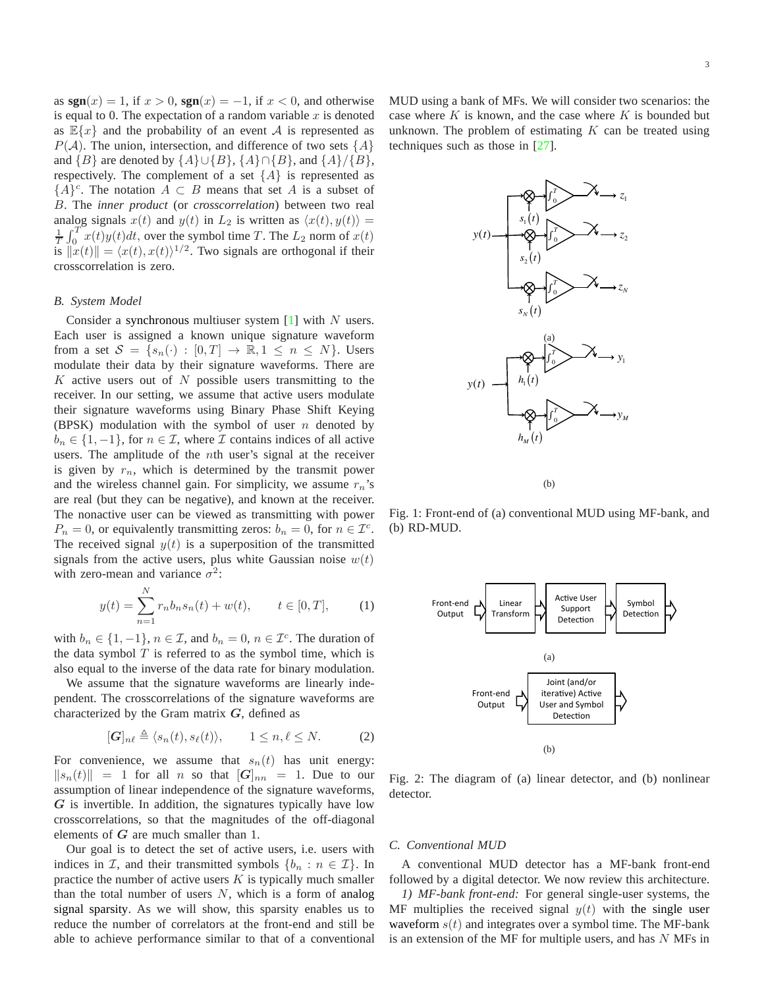as  $sgn(x) = 1$ , if  $x > 0$ ,  $sgn(x) = -1$ , if  $x < 0$ , and otherwise is equal to 0. The expectation of a random variable  $x$  is denoted as  $\mathbb{E}\{x\}$  and the probability of an event A is represented as  $P(A)$ . The union, intersection, and difference of two sets  $\{A\}$ and  ${B}$  are denoted by  ${A} \cup {B}$ ,  ${A} \cap {B}$ , and  ${A}$ / ${B}$ , respectively. The complement of a set  $\{A\}$  is represented as  ${A}^c$ . The notation  $A \subset B$  means that set A is a subset of B. The *inner product* (or *crosscorrelation*) between two real analog signals  $x(t)$  and  $y(t)$  in  $L_2$  is written as  $\langle x(t), y(t) \rangle =$  $\frac{1}{T}\int_0^T x(t)y(t)dt$ , over the symbol time T. The  $L_2$  norm of  $x(t)$ is  $\Vert x(t) \Vert = \langle x(t), x(t) \rangle^{1/2}$ . Two signals are orthogonal if their crosscorrelation is zero.

#### *B. System Model*

Consider a synchronous multiuser system  $[1]$  with N users. Each user is assigned a known unique signature waveform from a set  $S = \{s_n(\cdot) : [0, T] \to \mathbb{R}, 1 \le n \le N\}$ . Users modulate their data by their signature waveforms. There are  $K$  active users out of  $N$  possible users transmitting to the receiver. In our setting, we assume that active users modulate their signature waveforms using Binary Phase Shift Keying (BPSK) modulation with the symbol of user  $n$  denoted by  $b_n \in \{1, -1\}$ , for  $n \in \mathcal{I}$ , where  $\mathcal I$  contains indices of all active users. The amplitude of the nth user's signal at the receiver is given by  $r_n$ , which is determined by the transmit power and the wireless channel gain. For simplicity, we assume  $r_n$ 's are real (but they can be negative), and known at the receiver. The nonactive user can be viewed as transmitting with power  $P_n = 0$ , or equivalently transmitting zeros:  $b_n = 0$ , for  $n \in \mathcal{I}^c$ . The received signal  $y(t)$  is a superposition of the transmitted signals from the active users, plus white Gaussian noise  $w(t)$ with zero-mean and variance  $\sigma^2$ :

<span id="page-2-1"></span>
$$
y(t) = \sum_{n=1}^{N} r_n b_n s_n(t) + w(t), \qquad t \in [0, T], \qquad (1)
$$

with  $b_n \in \{1, -1\}$ ,  $n \in \mathcal{I}$ , and  $b_n = 0$ ,  $n \in \mathcal{I}^c$ . The duration of the data symbol  $T$  is referred to as the symbol time, which is also equal to the inverse of the data rate for binary modulation.

We assume that the signature waveforms are linearly independent. The crosscorrelations of the signature waveforms are characterized by the Gram matrix  $G$ , defined as

$$
[\mathbf{G}]_{n\ell} \triangleq \langle s_n(t), s_\ell(t) \rangle, \qquad 1 \le n, \ell \le N. \tag{2}
$$

For convenience, we assume that  $s_n(t)$  has unit energy:  $||s_n(t)|| = 1$  for all n so that  $[G]_{nn} = 1$ . Due to our assumption of linear independence of the signature waveforms,  $G$  is invertible. In addition, the signatures typically have low crosscorrelations, so that the magnitudes of the off-diagonal elements of  $G$  are much smaller than 1.

Our goal is to detect the set of active users, i.e. users with indices in  $\mathcal{I}$ , and their transmitted symbols  $\{b_n : n \in \mathcal{I}\}\$ . In practice the number of active users  $K$  is typically much smaller than the total number of users  $N$ , which is a form of analog signal sparsity. As we will show, this sparsity enables us to reduce the number of correlators at the front-end and still be able to achieve performance similar to that of a conventional

<span id="page-2-0"></span>MUD using a bank of MFs. We will consider two scenarios: the case where  $K$  is known, and the case where  $K$  is bounded but unknown. The problem of estimating  $K$  can be treated using techniques such as those in [\[27\]](#page-16-13).



<span id="page-2-5"></span>Fig. 1: Front-end of (a) conventional MUD using MF-bank, and (b) RD-MUD.

<span id="page-2-3"></span><span id="page-2-2"></span>

<span id="page-2-4"></span>Fig. 2: The diagram of (a) linear detector, and (b) nonlinear detector.

#### *C. Conventional MUD*

A conventional MUD detector has a MF-bank front-end followed by a digital detector. We now review this architecture.

*1) MF-bank front-end:* For general single-user systems, the MF multiplies the received signal  $y(t)$  with the single user waveform  $s(t)$  and integrates over a symbol time. The MF-bank is an extension of the MF for multiple users, and has  $N$  MFs in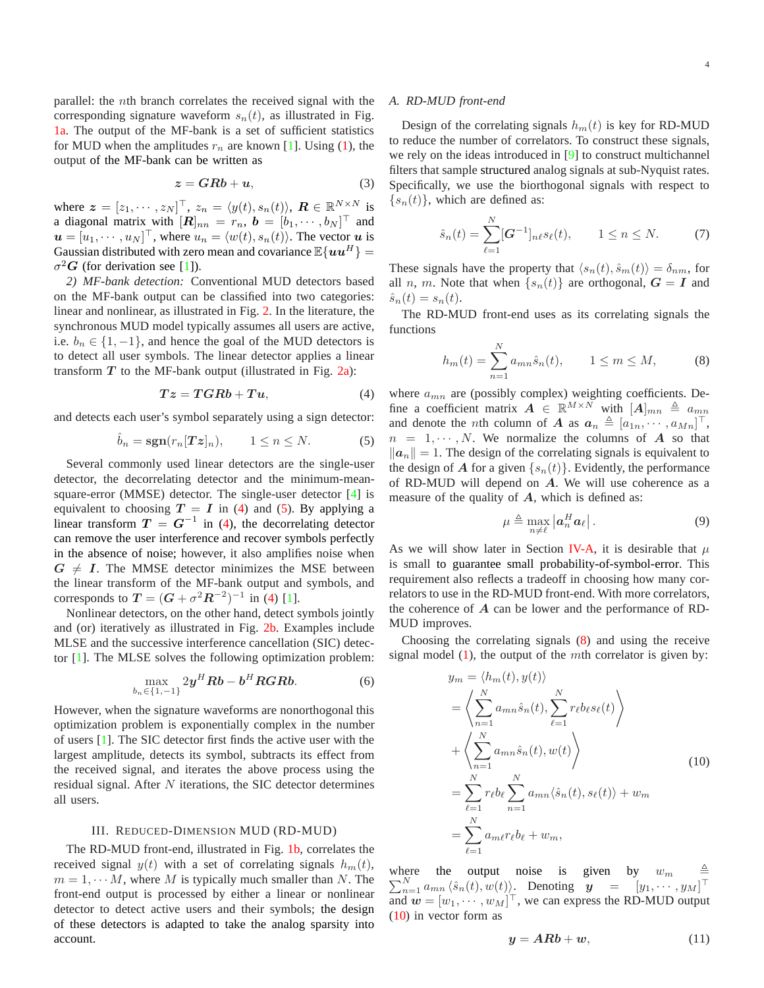parallel: the nth branch correlates the received signal with the corresponding signature waveform  $s_n(t)$ , as illustrated in Fig. [1a.](#page-2-0) The output of the MF-bank is a set of sufficient statistics for MUD when the amplitudes  $r_n$  are known [\[1\]](#page-15-0). Using [\(1\)](#page-2-1), the output of the MF-bank can be written as

<span id="page-3-6"></span>
$$
z = GRb + u,\tag{3}
$$

where  $\boldsymbol{z} = [z_1, \dots, z_N]^\top$ ,  $z_n = \langle y(t), s_n(t) \rangle$ ,  $\boldsymbol{R} \in \mathbb{R}^{N \times N}$  is a diagonal matrix with  $[\boldsymbol{R}]_{nn} = r_n$ ,  $\boldsymbol{b} = [b_1, \cdots, b_N]^\top$  and  $u = [u_1, \dots, u_N]^\top$ , where  $u_n = \langle w(t), s_n(t) \rangle$ . The vector u is Gaussian distributed with zero mean and covariance  $\mathbb{E}\{uu^H\}$  $\sigma^2 G$  (for derivation see [\[1\]](#page-15-0)).

*2) MF-bank detection:* Conventional MUD detectors based on the MF-bank output can be classified into two categories: linear and nonlinear, as illustrated in Fig. [2.](#page-2-2) In the literature, the synchronous MUD model typically assumes all users are active, i.e.  $b_n \in \{1, -1\}$ , and hence the goal of the MUD detectors is to detect all user symbols. The linear detector applies a linear transform  $T$  to the MF-bank output (illustrated in Fig. [2a\)](#page-2-3):

<span id="page-3-1"></span>
$$
Tz = TGRb + Tu,\t\t(4)
$$

and detects each user's symbol separately using a sign detector:

<span id="page-3-2"></span>
$$
\hat{b}_n = \text{sgn}(r_n[T\boldsymbol{z}]_n), \qquad 1 \le n \le N. \tag{5}
$$

Several commonly used linear detectors are the single-user detector, the decorrelating detector and the minimum-meansquare-error (MMSE) detector. The single-user detector [\[4\]](#page-15-3) is equivalent to choosing  $T = I$  in [\(4\)](#page-3-1) and [\(5\)](#page-3-2). By applying a linear transform  $T = G^{-1}$  in [\(4\)](#page-3-1), the decorrelating detector can remove the user interference and recover symbols perfectly in the absence of noise; however, it also amplifies noise when  $G \neq I$ . The MMSE detector minimizes the MSE between the linear transform of the MF-bank output and symbols, and corresponds to  $T = (G + \sigma^2 R^{-2})^{-1}$  in [\(4\)](#page-3-1) [\[1\]](#page-15-0).

Nonlinear detectors, on the other hand, detect symbols jointly and (or) iteratively as illustrated in Fig. [2b.](#page-2-4) Examples include MLSE and the successive interference cancellation (SIC) detector [\[1\]](#page-15-0). The MLSE solves the following optimization problem:

$$
\max_{b_n \in \{1,-1\}} 2\mathbf{y}^H \mathbf{R} \mathbf{b} - \mathbf{b}^H \mathbf{R} \mathbf{G} \mathbf{R} \mathbf{b}.\tag{6}
$$

However, when the signature waveforms are nonorthogonal this optimization problem is exponentially complex in the number of users [\[1\]](#page-15-0). The SIC detector first finds the active user with the largest amplitude, detects its symbol, subtracts its effect from the received signal, and iterates the above process using the residual signal. After  $N$  iterations, the SIC detector determines all users.

### III. REDUCED-DIMENSION MUD (RD-MUD)

<span id="page-3-0"></span>The RD-MUD front-end, illustrated in Fig. [1b,](#page-2-5) correlates the received signal  $y(t)$  with a set of correlating signals  $h_m(t)$ ,  $m = 1, \dots M$ , where M is typically much smaller than N. The front-end output is processed by either a linear or nonlinear detector to detect active users and their symbols; the design of these detectors is adapted to take the analog sparsity into account.

#### *A. RD-MUD front-end*

Design of the correlating signals  $h_m(t)$  is key for RD-MUD to reduce the number of correlators. To construct these signals, we rely on the ideas introduced in [\[9\]](#page-15-8) to construct multichannel filters that sample structured analog signals at sub-Nyquist rates. Specifically, we use the biorthogonal signals with respect to  $\{s_n(t)\}\$ , which are defined as:

$$
\hat{s}_n(t) = \sum_{\ell=1}^N [\mathbf{G}^{-1}]_{n\ell} s_\ell(t), \qquad 1 \le n \le N. \tag{7}
$$

These signals have the property that  $\langle s_n(t), \hat{s}_m(t) \rangle = \delta_{nm}$ , for all n, m. Note that when  $\{s_n(t)\}\$ are orthogonal,  $G = I$  and  $\hat{s}_n(t) = s_n(t).$ 

The RD-MUD front-end uses as its correlating signals the functions

<span id="page-3-3"></span>
$$
h_m(t) = \sum_{n=1}^{N} a_{mn} \hat{s}_n(t), \qquad 1 \le m \le M,
$$
 (8)

where  $a_{mn}$  are (possibly complex) weighting coefficients. Define a coefficient matrix  $A \in \mathbb{R}^{M \times N}$  with  $[A]_{mn} \triangleq a_{mn}$ and denote the *n*th column of A as  $a_n \triangleq [a_{1n}, \dots, a_{Mn}]^\top$ ,  $n = 1, \dots, N$ . We normalize the columns of A so that  $||a_n|| = 1$ . The design of the correlating signals is equivalent to the design of A for a given  $\{s_n(t)\}\$ . Evidently, the performance of RD-MUD will depend on A. We will use coherence as a measure of the quality of  $A$ , which is defined as:

<span id="page-3-7"></span>
$$
\mu \triangleq \max_{n \neq \ell} \left| \boldsymbol{a}_n^H \boldsymbol{a}_\ell \right|.
$$
 (9)

As we will show later in Section [IV-A,](#page-6-1) it is desirable that  $\mu$ is small to guarantee small probability-of-symbol-error. This requirement also reflects a tradeoff in choosing how many correlators to use in the RD-MUD front-end. With more correlators, the coherence of  $\vec{A}$  can be lower and the performance of RD-MUD improves.

Choosing the correlating signals [\(8\)](#page-3-3) and using the receive signal model  $(1)$ , the output of the *mth* correlator is given by:

<span id="page-3-4"></span>
$$
y_m = \langle h_m(t), y(t) \rangle
$$
  
\n
$$
= \left\langle \sum_{n=1}^N a_{mn} \hat{s}_n(t), \sum_{\ell=1}^N r_\ell b_\ell s_\ell(t) \right\rangle
$$
  
\n
$$
+ \left\langle \sum_{n=1}^N a_{mn} \hat{s}_n(t), w(t) \right\rangle
$$
  
\n
$$
= \sum_{\ell=1}^N r_\ell b_\ell \sum_{n=1}^N a_{mn} \langle \hat{s}_n(t), s_\ell(t) \rangle + w_m
$$
  
\n
$$
= \sum_{\ell=1}^N a_{m\ell} r_\ell b_\ell + w_m,
$$
\n(10)

 $\sum_{n=1}^{N} a_{mn} \langle \hat{s}_n(t), w(t) \rangle$ . Denoting  $\mathbf{y} = [y_1, \dots, y_M]^\top$ where the output noise is given by  $w_m$   $\triangleq$ and  $\mathbf{w} = [w_1, \dots, w_M]^\top$ , we can express the RD-MUD output [\(10\)](#page-3-4) in vector form as

<span id="page-3-5"></span>
$$
y = ARb + w,\tag{11}
$$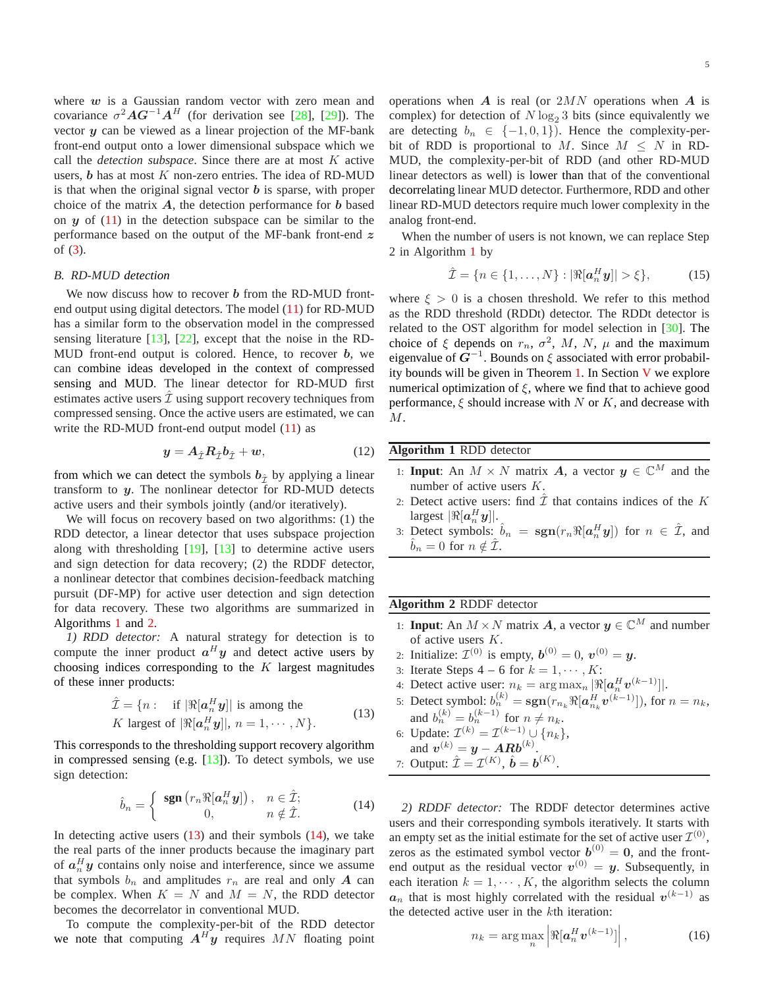where  $w$  is a Gaussian random vector with zero mean and covariance  $\sigma^2 A G^{-1} A^H$  (for derivation see [\[28\]](#page-16-14), [\[29\]](#page-16-15)). The vector  $y$  can be viewed as a linear projection of the MF-bank front-end output onto a lower dimensional subspace which we call the *detection subspace*. Since there are at most K active users,  $b$  has at most  $K$  non-zero entries. The idea of RD-MUD is that when the original signal vector  $\boldsymbol{b}$  is sparse, with proper choice of the matrix  $A$ , the detection performance for  $b$  based on  $y$  of  $(11)$  in the detection subspace can be similar to the performance based on the output of the MF-bank front-end z of [\(3\)](#page-3-6).

#### *B. RD-MUD detection*

We now discuss how to recover  $b$  from the RD-MUD frontend output using digital detectors. The model [\(11\)](#page-3-5) for RD-MUD has a similar form to the observation model in the compressed sensing literature [\[13\]](#page-15-12), [\[22\]](#page-16-8), except that the noise in the RD-MUD front-end output is colored. Hence, to recover  $b$ , we can combine ideas developed in the context of compressed sensing and MUD. The linear detector for RD-MUD first estimates active users  $\hat{\mathcal{I}}$  using support recovery techniques from compressed sensing. Once the active users are estimated, we can write the RD-MUD front-end output model [\(11\)](#page-3-5) as

<span id="page-4-5"></span>
$$
y = A_{\hat{\mathcal{I}}} R_{\hat{\mathcal{I}}} b_{\hat{\mathcal{I}}} + w,\tag{12}
$$

from which we can detect the symbols  $b_{\hat{\mathcal{I}}}$  by applying a linear transform to  $y$ . The nonlinear detector for RD-MUD detects active users and their symbols jointly (and/or iteratively).

We will focus on recovery based on two algorithms: (1) the RDD detector, a linear detector that uses subspace projection along with thresholding [\[19\]](#page-16-5), [\[13\]](#page-15-12) to determine active users and sign detection for data recovery; (2) the RDDF detector, a nonlinear detector that combines decision-feedback matching pursuit (DF-MP) for active user detection and sign detection for data recovery. These two algorithms are summarized in Algorithms [1](#page-4-0) and [2.](#page-4-1)

<span id="page-4-6"></span>*1) RDD detector:* A natural strategy for detection is to compute the inner product  $a^H y$  and detect active users by choosing indices corresponding to the  $K$  largest magnitudes of these inner products:

$$
\hat{\mathcal{I}} = \{n : \text{ if } |\Re[a_n^H y]| \text{ is among the} K \text{ largest of } |\Re[a_n^H y]|, n = 1, \cdots, N\}.
$$
\n(13)

<span id="page-4-2"></span>This corresponds to the thresholding support recovery algorithm in compressed sensing (e.g.  $[13]$ ). To detect symbols, we use sign detection:

<span id="page-4-3"></span>
$$
\hat{b}_n = \begin{cases} \operatorname{sgn}\left(r_n \Re[a_n^H y]\right), & n \in \hat{\mathcal{I}}; \\ 0, & n \notin \hat{\mathcal{I}}. \end{cases}
$$
(14)

In detecting active users  $(13)$  and their symbols  $(14)$ , we take the real parts of the inner products because the imaginary part of  $a_n^H y$  contains only noise and interference, since we assume that symbols  $b_n$  and amplitudes  $r_n$  are real and only A can be complex. When  $K = N$  and  $M = N$ , the RDD detector becomes the decorrelator in conventional MUD.

To compute the complexity-per-bit of the RDD detector we note that computing  $A^H y$  requires MN floating point

operations when  $\bm{A}$  is real (or  $2MN$  operations when  $\bm{A}$  is complex) for detection of  $N \log_2 3$  bits (since equivalently we are detecting  $b_n \in \{-1,0,1\}$ . Hence the complexity-perbit of RDD is proportional to M. Since  $M \leq N$  in RD-MUD, the complexity-per-bit of RDD (and other RD-MUD linear detectors as well) is lower than that of the conventional decorrelating linear MUD detector. Furthermore, RDD and other linear RD-MUD detectors require much lower complexity in the analog front-end.

When the number of users is not known, we can replace Step 2 in Algorithm [1](#page-4-0) by

$$
\hat{\mathcal{I}} = \{ n \in \{1, ..., N\} : |\Re[a_n^H y]| > \xi \},\tag{15}
$$

where  $\xi > 0$  is a chosen threshold. We refer to this method as the RDD threshold (RDDt) detector. The RDDt detector is related to the OST algorithm for model selection in [\[30\]](#page-16-16). The choice of  $\xi$  depends on  $r_n$ ,  $\sigma^2$ , M, N,  $\mu$  and the maximum eigenvalue of  $G^{-1}$ . Bounds on  $\xi$  associated with error probability bounds will be given in Theorem [1.](#page-7-0) In Section [V](#page-8-0) we explore numerical optimization of  $\xi$ , where we find that to achieve good performance,  $\xi$  should increase with N or K, and decrease with M.

| <b>Algorithm 1 RDD</b> detector |                                                                                  |  |  |  |
|---------------------------------|----------------------------------------------------------------------------------|--|--|--|
|                                 | 1: <b>Input:</b> An $M \times N$ matrix A, a vector $y \in \mathbb{C}^M$ and the |  |  |  |
|                                 | number of active users $K$ .                                                     |  |  |  |
|                                 | 2: Detect active users: find $\hat{\mathcal{I}}$ that contains indices of the K  |  |  |  |
|                                 | largest $\Re[a_n^H y]$ .                                                         |  |  |  |
|                                 | $\angle$ on $H$ is $\hat{H}$                                                     |  |  |  |

<span id="page-4-0"></span>3: Detect symbols:  $\hat{b}_n = \text{sgn}(r_n \Re[a_n^H y])$  for  $n \in \hat{\mathcal{I}}$ , and  $b_n = 0$  for  $n \notin \mathcal{I}$ .

# **Algorithm 2** RDDF detector

- 1: **Input**: An  $M \times N$  matrix **A**, a vector  $y \in \mathbb{C}^M$  and number of active users K.
- 2: Initialize:  $\mathcal{I}^{(0)}$  is empty,  $\mathbf{b}^{(0)} = 0$ ,  $\mathbf{v}^{(0)} = \mathbf{y}$ .
- 3: Iterate Steps  $4-6$  for  $k = 1, \dots, K$ :
- 4: Detect active user:  $n_k = \arg \max_n \left| \Re[a_n^H \mathbf{v}^{(k-1)}] \right|.$
- 5: Detect symbol:  $b_n^{(k)} = \text{sgn}(r_{n_k} \Re[a_{n_k}^H \mathbf{v}^{(k-1)}]),$  for  $n = n_k$ , and  $b_n^{(k)} = b_n^{(k-1)}$  for  $n \neq n_k$ .

<span id="page-4-1"></span>.

6: Update:  $\mathcal{I}^{(k)} = \mathcal{I}^{(k-1)} \cup \{n_k\},\$ 

and 
$$
v^{(k)} = y - ARb^{(k)}
$$
.  
7: Output:  $\hat{\mathcal{I}} = \mathcal{I}^{(K)}$ ,  $\hat{\mathbf{b}} = \mathbf{b}^{(K)}$ 

<span id="page-4-7"></span>*2) RDDF detector:* The RDDF detector determines active users and their corresponding symbols iteratively. It starts with an empty set as the initial estimate for the set of active user  $\mathcal{I}^{(0)}$ , zeros as the estimated symbol vector  $\mathbf{b}^{(0)} = \mathbf{0}$ , and the frontend output as the residual vector  $v^{(0)} = y$ . Subsequently, in each iteration  $k = 1, \dots, K$ , the algorithm selects the column  $a_n$  that is most highly correlated with the residual  $v^{(k-1)}$  as the detected active user in the kth iteration:

<span id="page-4-4"></span>
$$
n_k = \arg\max_n \left| \Re[\boldsymbol{a}_n^H \boldsymbol{v}^{(k-1)}] \right|, \tag{16}
$$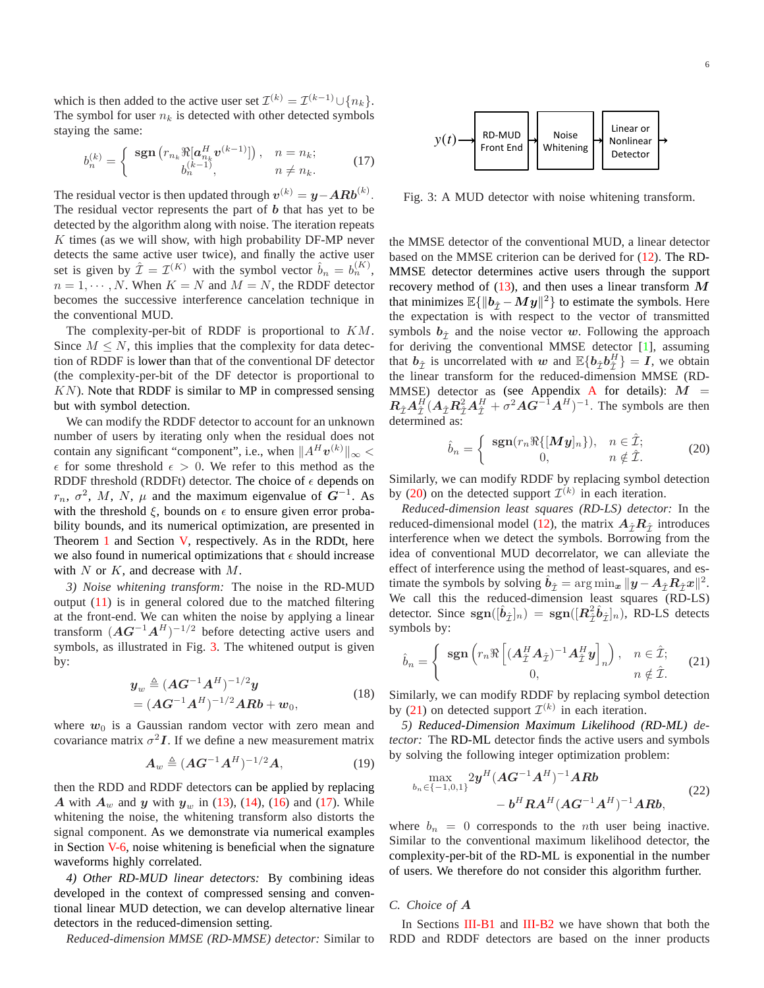which is then added to the active user set  $\mathcal{I}^{(k)} = \mathcal{I}^{(k-1)} \cup \{n_k\}.$ The symbol for user  $n_k$  is detected with other detected symbols staying the same:

<span id="page-5-1"></span>
$$
b_n^{(k)} = \begin{cases} \operatorname{sgn}\left(r_{n_k} \Re[a_{n_k}^H v^{(k-1)}]\right), & n = n_k; \\ b_n^{(k-1)}, & n \neq n_k. \end{cases}
$$
(17)

The residual vector is then updated through  $v^{(k)} = y - A R b^{(k)}$ . The residual vector represents the part of  **that has yet to be** detected by the algorithm along with noise. The iteration repeats  $K$  times (as we will show, with high probability DF-MP never detects the same active user twice), and finally the active user set is given by  $\hat{\mathcal{I}} = \mathcal{I}^{(K)}$  with the symbol vector  $\hat{b}_n = b_n^{(K)}$ ,  $n = 1, \dots, N$ . When  $K = N$  and  $M = N$ , the RDDF detector becomes the successive interference cancelation technique in the conventional MUD.

The complexity-per-bit of RDDF is proportional to  $KM$ . Since  $M \leq N$ , this implies that the complexity for data detection of RDDF is lower than that of the conventional DF detector (the complexity-per-bit of the DF detector is proportional to  $KN$ ). Note that RDDF is similar to MP in compressed sensing but with symbol detection.

We can modify the RDDF detector to account for an unknown number of users by iterating only when the residual does not contain any significant "component", i.e., when  $||A^H v^{(k)}||_{\infty}$  <  $\epsilon$  for some threshold  $\epsilon > 0$ . We refer to this method as the RDDF threshold (RDDFt) detector. The choice of  $\epsilon$  depends on  $r_n$ ,  $\sigma^2$ , M, N,  $\mu$  and the maximum eigenvalue of  $G^{-1}$ . As with the threshold  $\xi$ , bounds on  $\epsilon$  to ensure given error probability bounds, and its numerical optimization, are presented in Theorem [1](#page-7-0) and Section [V,](#page-8-0) respectively. As in the RDDt, here we also found in numerical optimizations that  $\epsilon$  should increase with  $N$  or  $K$ , and decrease with  $M$ .

*3) Noise whitening transform:* The noise in the RD-MUD output [\(11\)](#page-3-5) is in general colored due to the matched filtering at the front-end. We can whiten the noise by applying a linear transform  $(AG^{-1}A^H)^{-1/2}$  before detecting active users and symbols, as illustrated in Fig. [3.](#page-5-0) The whitened output is given by:

$$
y_w \triangleq (AG^{-1}A^H)^{-1/2}y
$$
  
=  $(AG^{-1}A^H)^{-1/2}ARb + w_0,$  (18)

where  $w_0$  is a Gaussian random vector with zero mean and covariance matrix  $\sigma^2 I$ . If we define a new measurement matrix

$$
\boldsymbol{A}_{w} \triangleq (\boldsymbol{A}\boldsymbol{G}^{-1}\boldsymbol{A}^{H})^{-1/2}\boldsymbol{A},\tag{19}
$$

then the RDD and RDDF detectors can be applied by replacing A with  $A_w$  and y with  $y_w$  in [\(13\)](#page-4-2), [\(14\)](#page-4-3), [\(16\)](#page-4-4) and [\(17\)](#page-5-1). While whitening the noise, the whitening transform also distorts the signal component. As we demonstrate via numerical examples in Section [V-6,](#page-10-0) noise whitening is beneficial when the signature waveforms highly correlated.

*4) Other RD-MUD linear detectors:* By combining ideas developed in the context of compressed sensing and conventional linear MUD detection, we can develop alternative linear detectors in the reduced-dimension setting.

*Reduced-dimension MMSE (RD-MMSE) detector:* Similar to

<span id="page-5-0"></span>

Fig. 3: A MUD detector with noise whitening transform.

the MMSE detector of the conventional MUD, a linear detector based on the MMSE criterion can be derived for [\(12\)](#page-4-5). The RD-MMSE detector determines active users through the support recovery method of  $(13)$ , and then uses a linear transform M that minimizes  $\mathbb{E}\{\|\boldsymbol{b}_{\hat{\mathcal{I}}} - \boldsymbol{My}\|^2\}$  to estimate the symbols. Here the expectation is with respect to the vector of transmitted symbols  $b_{\hat{\tau}}$  and the noise vector w. Following the approach for deriving the conventional MMSE detector [\[1\]](#page-15-0), assuming that  $b_{\hat{\mathcal{I}}}$  is uncorrelated with w and  $\mathbb{E}\{b_{\hat{\mathcal{I}}}b_{\hat{\mathcal{I}}}^H\}=I$ , we obtain the linear transform for the reduced-dimension MMSE (RD-MMSE) detector as (see [A](#page-12-0)ppendix A for details):  $M =$  $R_{\hat{I}}A_{\hat{I}}^H(A_{\hat{I}}R_{\hat{I}}^2A_{\hat{I}}^H + \sigma^2AG^{-1}A^H)^{-1}$ . The symbols are then determined as:

<span id="page-5-2"></span>
$$
\hat{b}_n = \begin{cases}\n\operatorname{sgn}(r_n \Re\{[\boldsymbol{M} \boldsymbol{y}]_n\}), & n \in \hat{\mathcal{I}}; \\
0, & n \notin \hat{\mathcal{I}}.\n\end{cases}
$$
\n(20)

Similarly, we can modify RDDF by replacing symbol detection by [\(20\)](#page-5-2) on the detected support  $\mathcal{I}^{(k)}$  in each iteration.

*Reduced-dimension least squares (RD-LS) detector:* In the reduced-dimensional model [\(12\)](#page-4-5), the matrix  $A_{\hat{\tau}}R_{\hat{\tau}}$  introduces interference when we detect the symbols. Borrowing from the idea of conventional MUD decorrelator, we can alleviate the effect of interference using the method of least-squares, and estimate the symbols by solving  $\hat{b}_{\hat{\mathcal{I}}} = \arg \min_{\mathbf{x}} ||\hat{\mathbf{y}} - A_{\hat{\mathcal{I}}} R_{\hat{\mathcal{I}}} \mathbf{x}||^2$ . We call this the reduced-dimension least squares (RD-LS) detector. Since  $sgn([\hat{b}_{\hat{\mathcal{I}}}]_n) = sgn([R_{\hat{\mathcal{I}}}^2 \hat{b}_{\hat{\mathcal{I}}}]_n)$ , RD-LS detects symbols by:

<span id="page-5-3"></span>
$$
\hat{b}_n = \begin{cases} \operatorname{sgn}\left(r_n \Re\left[ (A_{\hat{\mathcal{I}}}^H A_{\hat{\mathcal{I}}})^{-1} A_{\hat{\mathcal{I}}}^H y \right]_n \right), & n \in \hat{\mathcal{I}}; \\ 0, & n \notin \hat{\mathcal{I}}. \end{cases}
$$
(21)

Similarly, we can modify RDDF by replacing symbol detection by [\(21\)](#page-5-3) on detected support  $\mathcal{I}^{(k)}$  in each iteration.

*5) Reduced-Dimension Maximum Likelihood (RD-ML) detector:* The RD-ML detector finds the active users and symbols by solving the following integer optimization problem:

$$
\max_{b_n \in \{-1,0,1\}} 2y^H (AG^{-1}A^H)^{-1}ARb - b^H RA^H (AG^{-1}A^H)^{-1}ARb,
$$
\n(22)

where  $b_n = 0$  corresponds to the *n*th user being inactive. Similar to the conventional maximum likelihood detector, the complexity-per-bit of the RD-ML is exponential in the number of users. We therefore do not consider this algorithm further.

# *C. Choice of* A

In Sections [III-B1](#page-4-6) and [III-B2](#page-4-7) we have shown that both the RDD and RDDF detectors are based on the inner products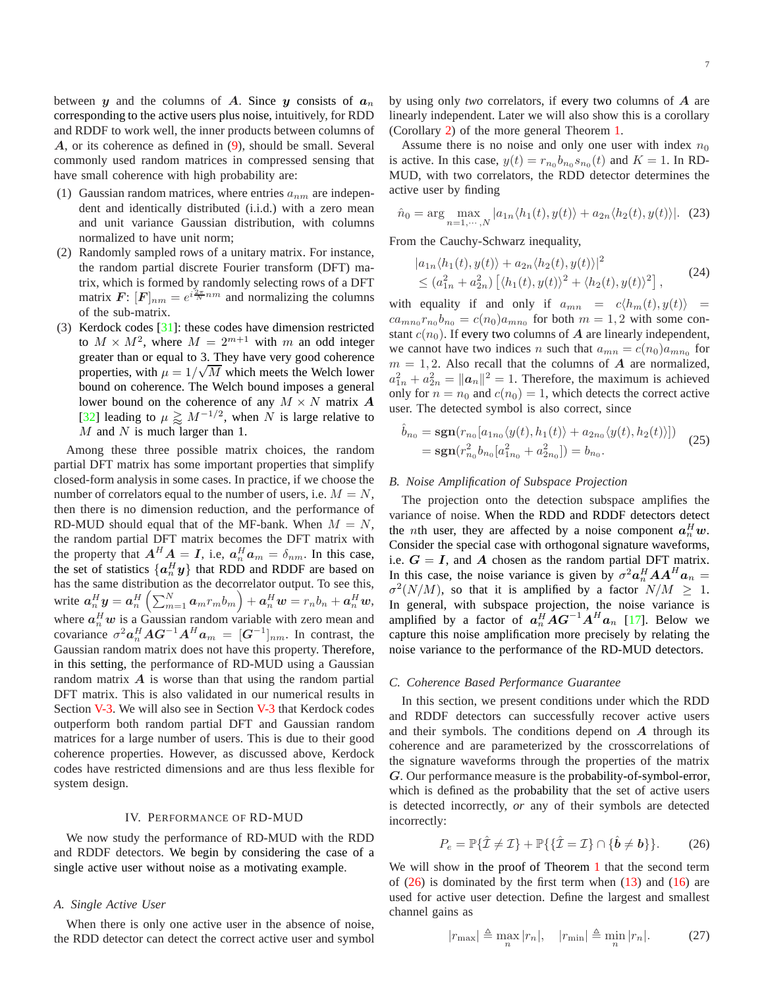between y and the columns of A. Since y consists of  $a_n$ corresponding to the active users plus noise, intuitively, for RDD and RDDF to work well, the inner products between columns of A, or its coherence as defined in [\(9\)](#page-3-7), should be small. Several commonly used random matrices in compressed sensing that have small coherence with high probability are:

- (1) Gaussian random matrices, where entries  $a_{nm}$  are independent and identically distributed (i.i.d.) with a zero mean and unit variance Gaussian distribution, with columns normalized to have unit norm;
- (2) Randomly sampled rows of a unitary matrix. For instance, the random partial discrete Fourier transform (DFT) matrix, which is formed by randomly selecting rows of a DFT matrix  $\mathbf{F}: [\mathbf{F}]_{nm} = e^{i\frac{2\pi}{N}nm}$  and normalizing the columns of the sub-matrix.
- (3) Kerdock codes [\[31\]](#page-16-17): these codes have dimension restricted to  $M \times M^2$ , where  $M = 2^{m+1}$  with m an odd integer greater than or equal to 3. They have very good coherence properties, with  $\mu = 1/\sqrt{M}$  which meets the Welch lower bound on coherence. The Welch bound imposes a general lower bound on the coherence of any  $M \times N$  matrix  $\boldsymbol{A}$ [\[32\]](#page-16-18) leading to  $\mu \gtrsim M^{-1/2}$ , when N is large relative to  $M$  and  $N$  is much larger than 1.

Among these three possible matrix choices, the random partial DFT matrix has some important properties that simplify closed-form analysis in some cases. In practice, if we choose the number of correlators equal to the number of users, i.e.  $M = N$ , then there is no dimension reduction, and the performance of RD-MUD should equal that of the MF-bank. When  $M = N$ , the random partial DFT matrix becomes the DFT matrix with the property that  $A^H A = I$ , i.e,  $a_n^H a_m = \delta_{nm}$ . In this case, the set of statistics  $\{a_n^H y\}$  that RDD and RDDF are based on has the same distribution as the decorrelator output. To see this, write  $\boldsymbol{a}_n^H \boldsymbol{y} = \boldsymbol{a}_n^H \left( \sum_{m=1}^N \boldsymbol{a}_m r_m b_m \right) + \boldsymbol{a}_n^H \boldsymbol{w} = r_n b_n + \boldsymbol{a}_n^H \boldsymbol{w},$ where  $a_n^H w$  is a Gaussian random variable with zero mean and covariance  $\sigma^2 \boldsymbol{a}_n^H \boldsymbol{A} \boldsymbol{G}^{-1} \boldsymbol{A}^H \boldsymbol{a}_m = [\boldsymbol{G}^{-1}]_{nm}$ . In contrast, the Gaussian random matrix does not have this property. Therefore, in this setting, the performance of RD-MUD using a Gaussian random matrix  $\vec{A}$  is worse than that using the random partial DFT matrix. This is also validated in our numerical results in Section [V-3.](#page-9-0) We will also see in Section [V-3](#page-9-0) that Kerdock codes outperform both random partial DFT and Gaussian random matrices for a large number of users. This is due to their good coherence properties. However, as discussed above, Kerdock codes have restricted dimensions and are thus less flexible for system design.

### IV. PERFORMANCE OF RD-MUD

<span id="page-6-0"></span>We now study the performance of RD-MUD with the RDD and RDDF detectors. We begin by considering the case of a single active user without noise as a motivating example.

## <span id="page-6-1"></span>*A. Single Active User*

When there is only one active user in the absence of noise, the RDD detector can detect the correct active user and symbol by using only *two* correlators, if every two columns of A are linearly independent. Later we will also show this is a corollary (Corollary [2\)](#page-8-1) of the more general Theorem [1.](#page-7-0)

Assume there is no noise and only one user with index  $n_0$ is active. In this case,  $y(t) = r_{n_0} b_{n_0} s_{n_0}(t)$  and  $K = 1$ . In RD-MUD, with two correlators, the RDD detector determines the active user by finding

$$
\hat{n}_0 = \arg \max_{n=1,\dots,N} |a_{1n} \langle h_1(t), y(t) \rangle + a_{2n} \langle h_2(t), y(t) \rangle|. \tag{23}
$$

From the Cauchy-Schwarz inequality,

$$
\begin{aligned} |a_{1n}\langle h_1(t), y(t)\rangle + a_{2n}\langle h_2(t), y(t)\rangle|^2 \\ &\le (a_{1n}^2 + a_{2n}^2) \left[ \langle h_1(t), y(t)\rangle^2 + \langle h_2(t), y(t)\rangle^2 \right], \end{aligned} \tag{24}
$$

with equality if and only if  $a_{mn} = c \langle h_m(t), y(t) \rangle =$  $ca_{mn_0}r_{n_0}b_{n_0} = c(n_0)a_{mn_0}$  for both  $m = 1, 2$  with some constant  $c(n_0)$ . If every two columns of  $\boldsymbol{A}$  are linearly independent, we cannot have two indices *n* such that  $a_{mn} = c(n_0)a_{mn_0}$  for  $m = 1, 2$ . Also recall that the columns of A are normalized,  $a_{1n}^2 + a_{2n}^2 = ||\boldsymbol{a}_n||^2 = 1$ . Therefore, the maximum is achieved only for  $n = n_0$  and  $c(n_0) = 1$ , which detects the correct active user. The detected symbol is also correct, since

$$
\hat{b}_{n_0} = \mathbf{sgn}(r_{n_0}[a_{1n_0}\langle y(t), h_1(t)\rangle + a_{2n_0}\langle y(t), h_2(t)\rangle])
$$
  
= 
$$
\mathbf{sgn}(r_{n_0}^2 b_{n_0}[a_{1n_0}^2 + a_{2n_0}^2]) = b_{n_0}.
$$
 (25)

## *B. Noise Amplification of Subspace Projection*

The projection onto the detection subspace amplifies the variance of noise. When the RDD and RDDF detectors detect the *n*th user, they are affected by a noise component  $a_n^H w$ . Consider the special case with orthogonal signature waveforms, i.e.  $G = I$ , and A chosen as the random partial DFT matrix. In this case, the noise variance is given by  $\sigma^2 a_n^H A A^H a_n =$  $\sigma^2(N/M)$ , so that it is amplified by a factor  $N/M \geq 1$ . In general, with subspace projection, the noise variance is amplified by a factor of  $a_n^H A G^{-1} A^H a_n$  [\[17\]](#page-16-3). Below we capture this noise amplification more precisely by relating the noise variance to the performance of the RD-MUD detectors.

# <span id="page-6-3"></span>*C. Coherence Based Performance Guarantee*

In this section, we present conditions under which the RDD and RDDF detectors can successfully recover active users and their symbols. The conditions depend on  $A$  through its coherence and are parameterized by the crosscorrelations of the signature waveforms through the properties of the matrix G. Our performance measure is the probability-of-symbol-error, which is defined as the probability that the set of active users is detected incorrectly, *or* any of their symbols are detected incorrectly:

<span id="page-6-2"></span>
$$
P_e = \mathbb{P}\{\hat{\mathcal{I}} \neq \mathcal{I}\} + \mathbb{P}\{\{\hat{\mathcal{I}} = \mathcal{I}\} \cap \{\hat{\boldsymbol{b}} \neq \boldsymbol{b}\}\}.
$$
 (26)

We will show in the proof of Theorem [1](#page-7-0) that the second term of  $(26)$  is dominated by the first term when  $(13)$  and  $(16)$  are used for active user detection. Define the largest and smallest channel gains as

<span id="page-6-4"></span>
$$
|r_{\text{max}}| \triangleq \max_{n} |r_n|, \quad |r_{\text{min}}| \triangleq \min_{n} |r_n|.
$$
 (27)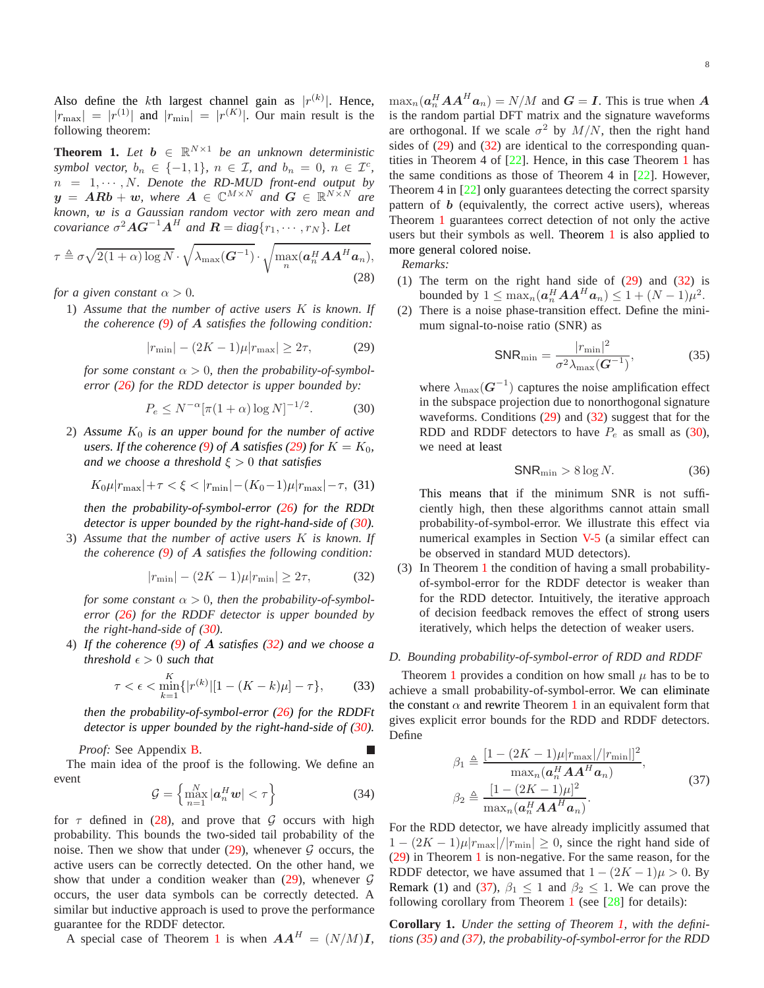Also define the k<sup>th</sup> largest channel gain as  $|r^{(k)}|$ . Hence,  $|r_{\text{max}}| = |r^{(1)}|$  and  $|r_{\text{min}}| = |r^{(K)}|$ . Our main result is the following theorem:

<span id="page-7-0"></span>**Theorem 1.** Let  $b \in \mathbb{R}^{N \times 1}$  be an unknown deterministic *symbol vector,*  $b_n \in \{-1, 1\}$ ,  $n \in \mathcal{I}$ , and  $b_n = 0$ ,  $n \in \mathcal{I}^c$ ,  $n = 1, \cdots, N$ . Denote the RD-MUD front-end output by  $y = ARb + w$ , where  $A \in \mathbb{C}^{M \times N}$  and  $G \in \mathbb{R}^{N \times N}$  are *known,* w *is a Gaussian random vector with zero mean and covariance*  $\sigma^2 \mathbf{A} \mathbf{G}^{-1} \mathbf{A}^H$  and  $\mathbf{R} = diag\{r_1, \cdots, r_N\}$ *. Let* 

<span id="page-7-4"></span>
$$
\tau \triangleq \sigma \sqrt{2(1+\alpha)\log N} \cdot \sqrt{\lambda_{\max}(\boldsymbol{G}^{-1})} \cdot \sqrt{\max_{n}(\boldsymbol{a}_{n}^{H}\boldsymbol{A}\boldsymbol{A}^{H}\boldsymbol{a}_{n})},
$$
\n(28)

*for a given constant*  $\alpha > 0$ *.* 

1) *Assume that the number of active users* K *is known. If the coherence [\(9\)](#page-3-7) of* A *satisfies the following condition:*

<span id="page-7-1"></span>
$$
|r_{\min}| - (2K - 1)\mu |r_{\max}| \ge 2\tau,
$$
 (29)

*for some constant*  $\alpha > 0$ *, then the probability-of-symbolerror [\(26\)](#page-6-2) for the RDD detector is upper bounded by:*

<span id="page-7-2"></span>
$$
P_e \le N^{-\alpha} [\pi (1 + \alpha) \log N]^{-1/2}.
$$
 (30)

2) Assume  $K_0$  *is an upper bound for the number of active users. If the coherence* [\(9\)](#page-3-7) of **A** *satisfies* [\(29\)](#page-7-1) for  $K = K_0$ , *and we choose a threshold* ξ > 0 *that satisfies*

$$
K_0\mu|r_{\text{max}}|+\tau < \xi < |r_{\text{min}}|-(K_0-1)\mu|r_{\text{max}}|-\tau, \tag{31}
$$

*then the probability-of-symbol-error [\(26\)](#page-6-2) for the RDDt detector is upper bounded by the right-hand-side of [\(30\)](#page-7-2).*

3) *Assume that the number of active users* K *is known. If the coherence [\(9\)](#page-3-7) of* A *satisfies the following condition:*

<span id="page-7-3"></span>
$$
|r_{\min}| - (2K - 1)\mu |r_{\min}| \ge 2\tau,
$$
 (32)

*for some constant*  $\alpha > 0$ *, then the probability-of-symbolerror [\(26\)](#page-6-2) for the RDDF detector is upper bounded by the right-hand-side of [\(30\)](#page-7-2).*

4) *If the coherence [\(9\)](#page-3-7) of* A *satisfies [\(32\)](#page-7-3) and we choose a threshold*  $\epsilon > 0$  *such that* 

$$
\tau < \epsilon < \min_{k=1}^K \{|r^{(k)}| \left[1 - (K - k)\mu\right] - \tau\},\tag{33}
$$

*then the probability-of-symbol-error [\(26\)](#page-6-2) for the RDDFt detector is upper bounded by the right-hand-side of [\(30\)](#page-7-2).*

*Proof:* See Appendix [B.](#page-12-1)

The main idea of the proof is the following. We define an event

<span id="page-7-7"></span>
$$
\mathcal{G} = \left\{ \max_{n=1}^{N} |\boldsymbol{a}_n^H \boldsymbol{w}| < \tau \right\} \tag{34}
$$

for  $\tau$  defined in [\(28\)](#page-7-4), and prove that G occurs with high probability. This bounds the two-sided tail probability of the noise. Then we show that under  $(29)$ , whenever  $G$  occurs, the active users can be correctly detected. On the other hand, we show that under a condition weaker than  $(29)$ , whenever  $G$ occurs, the user data symbols can be correctly detected. A similar but inductive approach is used to prove the performance guarantee for the RDDF detector.

A special case of Theorem [1](#page-7-0) is when  $AA^H = (N/M)I$ ,

 $\max_n(\boldsymbol{a}_n^H\boldsymbol{A}\boldsymbol{A}^H\boldsymbol{a}_n) = N/M$  and  $\boldsymbol{G} = \boldsymbol{I}$ . This is true when  $\boldsymbol{A}$ is the random partial DFT matrix and the signature waveforms are orthogonal. If we scale  $\sigma^2$  by  $M/N$ , then the right hand sides of [\(29\)](#page-7-1) and [\(32\)](#page-7-3) are identical to the corresponding quantities in Theorem 4 of  $[22]$ . Hence, in this case Theorem [1](#page-7-0) has the same conditions as those of Theorem 4 in [\[22\]](#page-16-8). However, Theorem 4 in [\[22\]](#page-16-8) only guarantees detecting the correct sparsity pattern of  **(equivalently, the correct active users), whereas** Theorem [1](#page-7-0) guarantees correct detection of not only the active users but their symbols as well. Theorem [1](#page-7-0) is also applied to more general colored noise.

*Remarks:*

- (1) The term on the right hand side of [\(29\)](#page-7-1) and [\(32\)](#page-7-3) is bounded by  $1 \leq \max_n(\boldsymbol{a}_n^H \boldsymbol{A} \boldsymbol{A}^H \boldsymbol{a}_n) \leq 1 + (N-1)\mu^2$ .
- (2) There is a noise phase-transition effect. Define the minimum signal-to-noise ratio (SNR) as

<span id="page-7-6"></span>
$$
SNR_{\min} = \frac{|r_{\min}|^2}{\sigma^2 \lambda_{\max}(G^{-1})},\tag{35}
$$

where  $\lambda_{\max}(\boldsymbol{G}^{-1})$  captures the noise amplification effect in the subspace projection due to nonorthogonal signature waveforms. Conditions [\(29\)](#page-7-1) and [\(32\)](#page-7-3) suggest that for the RDD and RDDF detectors to have  $P_e$  as small as [\(30\)](#page-7-2), we need at least

$$
SNR_{\min} > 8 \log N. \tag{36}
$$

This means that if the minimum SNR is not sufficiently high, then these algorithms cannot attain small probability-of-symbol-error. We illustrate this effect via numerical examples in Section [V-5](#page-10-1) (a similar effect can be observed in standard MUD detectors).

(3) In Theorem [1](#page-7-0) the condition of having a small probabilityof-symbol-error for the RDDF detector is weaker than for the RDD detector. Intuitively, the iterative approach of decision feedback removes the effect of strong users iteratively, which helps the detection of weaker users.

## *D. Bounding probability-of-symbol-error of RDD and RDDF*

Theorem [1](#page-7-0) provides a condition on how small  $\mu$  has to be to achieve a small probability-of-symbol-error. We can eliminate the constant  $\alpha$  and rewrite Theorem [1](#page-7-0) in an equivalent form that gives explicit error bounds for the RDD and RDDF detectors. Define

$$
\beta_1 \triangleq \frac{\left[1 - (2K - 1)\mu |r_{\text{max}}|/|r_{\text{min}}|\right]^2}{\max_n(\mathbf{a}_n^H \mathbf{A} \mathbf{A}^H \mathbf{a}_n)},
$$
\n
$$
\beta_2 \triangleq \frac{\left[1 - (2K - 1)\mu\right]^2}{\max_n(\mathbf{a}_n^H \mathbf{A} \mathbf{A}^H \mathbf{a}_n)}.
$$
\n(37)

<span id="page-7-5"></span>For the RDD detector, we have already implicitly assumed that  $1 - (2K - 1)\mu |r_{\text{max}}|/|r_{\text{min}}| \ge 0$ , since the right hand side of [\(29\)](#page-7-1) in Theorem [1](#page-7-0) is non-negative. For the same reason, for the RDDF detector, we have assumed that  $1 - (2K - 1)\mu > 0$ . By Remark (1) and [\(37\)](#page-7-5),  $\beta_1 \leq 1$  and  $\beta_2 \leq 1$ . We can prove the following corollary from Theorem [1](#page-7-0) (see  $[28]$  for details):

**Corollary 1.** *Under the setting of Theorem [1,](#page-7-0) with the definitions [\(35\)](#page-7-6) and [\(37\)](#page-7-5), the probability-of-symbol-error for the RDD*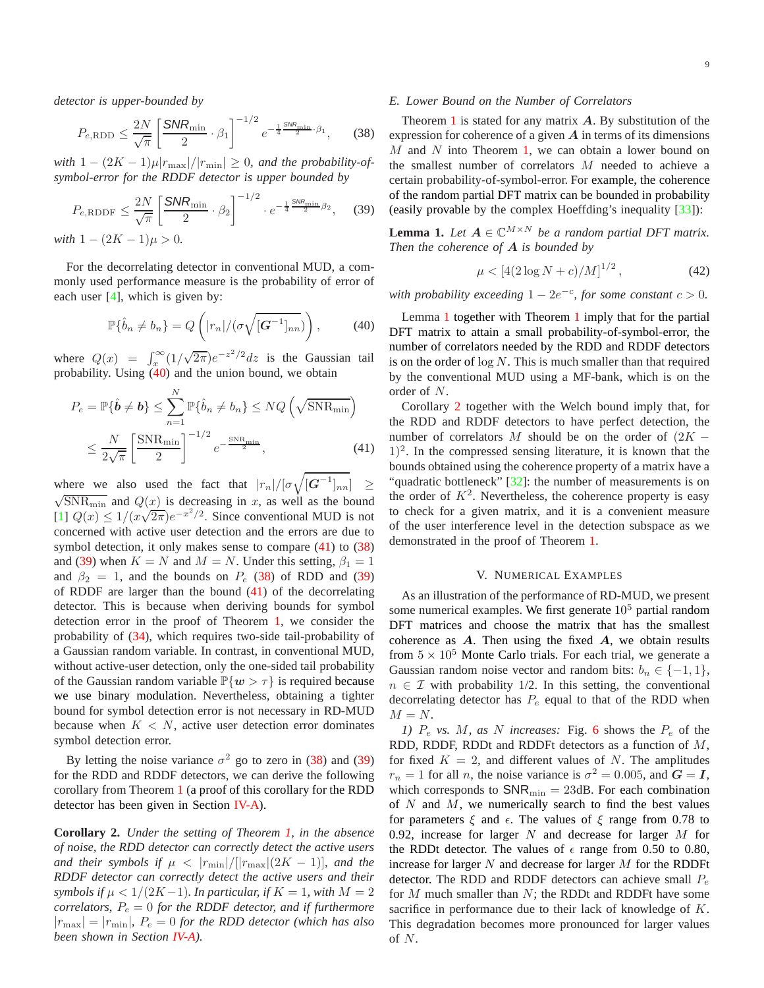*detector is upper-bounded by*

<span id="page-8-4"></span>
$$
P_{e,\text{RDD}} \le \frac{2N}{\sqrt{\pi}} \left[ \frac{\text{SNR}_{\text{min}}}{2} \cdot \beta_1 \right]^{-1/2} e^{-\frac{1}{4} \frac{\text{SNR}_{\text{min}}}{2} \cdot \beta_1},\tag{38}
$$

*with*  $1 - (2K - 1)\mu |r_{\text{max}}|/|r_{\text{min}}| \ge 0$ , and the probability-of*symbol-error for the RDDF detector is upper bounded by*

<span id="page-8-5"></span>
$$
P_{e,\text{RDDF}} \leq \frac{2N}{\sqrt{\pi}} \left[ \frac{\text{SNR}_{\text{min}}}{2} \cdot \beta_2 \right]^{-1/2} \cdot e^{-\frac{1}{4} \frac{\text{SNR}_{\text{min}}}{2} \beta_2},\tag{39}
$$

*with*  $1 - (2K - 1)\mu > 0$ .

For the decorrelating detector in conventional MUD, a commonly used performance measure is the probability of error of each user [\[4\]](#page-15-3), which is given by:

<span id="page-8-2"></span>
$$
\mathbb{P}\{\hat{b}_n \neq b_n\} = Q\left(|r_n|/(\sigma\sqrt{[\mathbf{G}^{-1}]_{nn}})\right),\tag{40}
$$

where  $Q(x) = \int_x^{\infty} (1/\sqrt{2\pi})e^{-z^2/2} dz$  is the Gaussian tail probability. Using  $(40)$  and the union bound, we obtain

$$
P_e = \mathbb{P}\{\hat{\boldsymbol{b}} \neq \boldsymbol{b}\} \le \sum_{n=1}^{N} \mathbb{P}\{\hat{b}_n \neq b_n\} \le NQ\left(\sqrt{\text{SNR}_{\text{min}}}\right)
$$

$$
\le \frac{N}{2\sqrt{\pi}} \left[\frac{\text{SNR}_{\text{min}}}{2}\right]^{-1/2} e^{-\frac{\text{SNR}_{\text{min}}}{2}}, \tag{41}
$$

where we also used the fact that  $|r_n|/[\sigma \sqrt{[G^{-1}]_{nn}}] \ge$  $\sqrt{\text{SNR}_{\text{min}}}$  and  $Q(x)$  is decreasing in x, as well as the bound [\[1\]](#page-15-0)  $Q(x) \le 1/(x\sqrt{2\pi})e^{-x^2/2}$ . Since conventional MUD is not concerned with active user detection and the errors are due to symbol detection, it only makes sense to compare [\(41\)](#page-8-3) to [\(38\)](#page-8-4) and [\(39\)](#page-8-5) when  $K = N$  and  $M = N$ . Under this setting,  $\beta_1 = 1$ and  $\beta_2 = 1$ , and the bounds on  $P_e$  [\(38\)](#page-8-4) of RDD and [\(39\)](#page-8-5) of RDDF are larger than the bound [\(41\)](#page-8-3) of the decorrelating detector. This is because when deriving bounds for symbol detection error in the proof of Theorem [1,](#page-7-0) we consider the probability of [\(34\)](#page-7-7), which requires two-side tail-probability of a Gaussian random variable. In contrast, in conventional MUD, without active-user detection, only the one-sided tail probability of the Gaussian random variable  $\mathbb{P}\{w > \tau\}$  is required because we use binary modulation. Nevertheless, obtaining a tighter bound for symbol detection error is not necessary in RD-MUD because when  $K < N$ , active user detection error dominates symbol detection error.

By letting the noise variance  $\sigma^2$  go to zero in [\(38\)](#page-8-4) and [\(39\)](#page-8-5) for the RDD and RDDF detectors, we can derive the following corollary from Theorem [1](#page-7-0) (a proof of this corollary for the RDD detector has been given in Section [IV-A\)](#page-6-1).

<span id="page-8-1"></span>**Corollary 2.** *Under the setting of Theorem [1,](#page-7-0) in the absence of noise, the RDD detector can correctly detect the active users and their symbols if*  $\mu < |r_{\min}|/[|r_{\max}|(2K - 1)]$ *, and the RDDF detector can correctly detect the active users and their symbols if*  $\mu < 1/(2K-1)$ *. In particular, if*  $K = 1$ *, with*  $M = 2$ *correlators,*  $P_e = 0$  *for the RDDF detector, and if furthermore*  $|r_{\text{max}}| = |r_{\text{min}}|$ ,  $P_e = 0$  for the RDD detector (which has also *been shown in Section [IV-A\)](#page-6-1).*

## *E. Lower Bound on the Number of Correlators*

Theorem [1](#page-7-0) is stated for any matrix  $\vec{A}$ . By substitution of the expression for coherence of a given  $A$  in terms of its dimensions  $M$  and  $N$  into Theorem [1,](#page-7-0) we can obtain a lower bound on the smallest number of correlators M needed to achieve a certain probability-of-symbol-error. For example, the coherence of the random partial DFT matrix can be bounded in probability (easily provable by the complex Hoeffding's inequality [\[33\]](#page-16-19)):

<span id="page-8-6"></span>**Lemma 1.** *Let*  $A \in \mathbb{C}^{M \times N}$  *be a random partial DFT matrix. Then the coherence of* A *is bounded by*

$$
\mu < \left[4(2\log N + c)/M\right]^{1/2},\tag{42}
$$

*with probability exceeding*  $1 - 2e^{-c}$ , *for some constant*  $c > 0$ .

Lemma [1](#page-8-6) together with Theorem [1](#page-7-0) imply that for the partial DFT matrix to attain a small probability-of-symbol-error, the number of correlators needed by the RDD and RDDF detectors is on the order of  $\log N$ . This is much smaller than that required by the conventional MUD using a MF-bank, which is on the order of N.

<span id="page-8-3"></span>Corollary [2](#page-8-1) together with the Welch bound imply that, for the RDD and RDDF detectors to have perfect detection, the number of correlators M should be on the order of  $(2K - )$  $(1)^2$ . In the compressed sensing literature, it is known that the bounds obtained using the coherence property of a matrix have a "quadratic bottleneck" [\[32\]](#page-16-18): the number of measurements is on the order of  $K^2$ . Nevertheless, the coherence property is easy to check for a given matrix, and it is a convenient measure of the user interference level in the detection subspace as we demonstrated in the proof of Theorem [1.](#page-7-0)

#### V. NUMERICAL EXAMPLES

<span id="page-8-0"></span>As an illustration of the performance of RD-MUD, we present some numerical examples. We first generate  $10<sup>5</sup>$  partial random DFT matrices and choose the matrix that has the smallest coherence as  $A$ . Then using the fixed  $A$ , we obtain results from  $5 \times 10^5$  Monte Carlo trials. For each trial, we generate a Gaussian random noise vector and random bits:  $b_n \in \{-1, 1\}$ ,  $n \in \mathcal{I}$  with probability 1/2. In this setting, the conventional decorrelating detector has  $P_e$  equal to that of the RDD when  $M = N$ .

*1)* P<sup>e</sup> *vs.* M*, as* N *increases:* Fig. [6](#page-10-2) shows the P<sup>e</sup> of the RDD, RDDF, RDDt and RDDFt detectors as a function of  $M$ , for fixed  $K = 2$ , and different values of N. The amplitudes  $r_n = 1$  for all *n*, the noise variance is  $\sigma^2 = 0.005$ , and  $G = I$ , which corresponds to  $\text{SNR}_{\text{min}} = 23 \text{dB}$ . For each combination of  $N$  and  $M$ , we numerically search to find the best values for parameters  $\xi$  and  $\xi$ . The values of  $\xi$  range from 0.78 to 0.92, increase for larger  $N$  and decrease for larger  $M$  for the RDDt detector. The values of  $\epsilon$  range from 0.50 to 0.80, increase for larger  $N$  and decrease for larger  $M$  for the RDDFt detector. The RDD and RDDF detectors can achieve small  $P_e$ for  $M$  much smaller than  $N$ ; the RDDt and RDDFt have some sacrifice in performance due to their lack of knowledge of K. This degradation becomes more pronounced for larger values of N.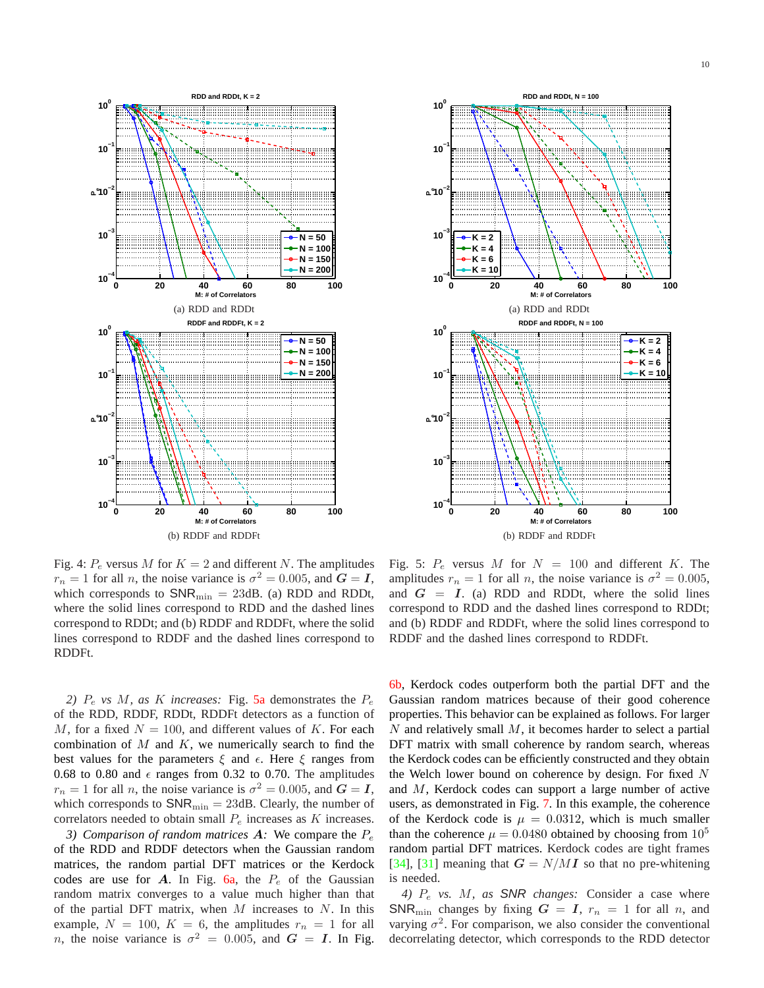

<span id="page-9-1"></span>

Fig. 4:  $P_e$  versus M for  $K = 2$  and different N. The amplitudes  $r_n = 1$  for all *n*, the noise variance is  $\sigma^2 = 0.005$ , and  $G = I$ , which corresponds to  $SNR_{\text{min}} = 23dB$ . (a) RDD and RDDt, where the solid lines correspond to RDD and the dashed lines correspond to RDDt; and (b) RDDF and RDDFt, where the solid lines correspond to RDDF and the dashed lines correspond to RDDFt.

2)  $P_e$  *vs M, as K increases:* Fig. [5a](#page-9-1) demonstrates the  $P_e$ of the RDD, RDDF, RDDt, RDDFt detectors as a function of M, for a fixed  $N = 100$ , and different values of K. For each combination of  $M$  and  $K$ , we numerically search to find the best values for the parameters  $\xi$  and  $\epsilon$ . Here  $\xi$  ranges from 0.68 to 0.80 and  $\epsilon$  ranges from 0.32 to 0.70. The amplitudes  $r_n = 1$  for all *n*, the noise variance is  $\sigma^2 = 0.005$ , and  $G = I$ , which corresponds to  $\text{SNR}_{\text{min}} = 23 \text{dB}$ . Clearly, the number of correlators needed to obtain small  $P_e$  increases as K increases.

<span id="page-9-0"></span>*3) Comparison of random matrices*  $\boldsymbol{A}$ : We compare the  $P_e$ of the RDD and RDDF detectors when the Gaussian random matrices, the random partial DFT matrices or the Kerdock codes are use for  $A$ . In Fig. [6a,](#page-10-3) the  $P_e$  of the Gaussian random matrix converges to a value much higher than that of the partial DFT matrix, when  $M$  increases to  $N$ . In this example,  $N = 100$ ,  $K = 6$ , the amplitudes  $r_n = 1$  for all *n*, the noise variance is  $\sigma^2 = 0.005$ , and  $G = I$ . In Fig.

Fig. 5:  $P_e$  versus M for  $N = 100$  and different K. The amplitudes  $r_n = 1$  for all *n*, the noise variance is  $\sigma^2 = 0.005$ , and  $G = I$ . (a) RDD and RDDt, where the solid lines correspond to RDD and the dashed lines correspond to RDDt; and (b) RDDF and RDDFt, where the solid lines correspond to RDDF and the dashed lines correspond to RDDFt.

[6b,](#page-10-4) Kerdock codes outperform both the partial DFT and the Gaussian random matrices because of their good coherence properties. This behavior can be explained as follows. For larger  $N$  and relatively small  $M$ , it becomes harder to select a partial DFT matrix with small coherence by random search, whereas the Kerdock codes can be efficiently constructed and they obtain the Welch lower bound on coherence by design. For fixed  $N$ and M, Kerdock codes can support a large number of active users, as demonstrated in Fig. [7.](#page-10-5) In this example, the coherence of the Kerdock code is  $\mu = 0.0312$ , which is much smaller than the coherence  $\mu = 0.0480$  obtained by choosing from  $10^5$ random partial DFT matrices. Kerdock codes are tight frames [\[34\]](#page-16-20), [\[31\]](#page-16-17) meaning that  $G = N/MI$  so that no pre-whitening is needed.

*4)* P<sup>e</sup> *vs.* M*, as* SNR *changes:* Consider a case where SNR<sub>min</sub> changes by fixing  $G = I$ ,  $r_n = 1$  for all n, and varying  $\sigma^2$ . For comparison, we also consider the conventional decorrelating detector, which corresponds to the RDD detector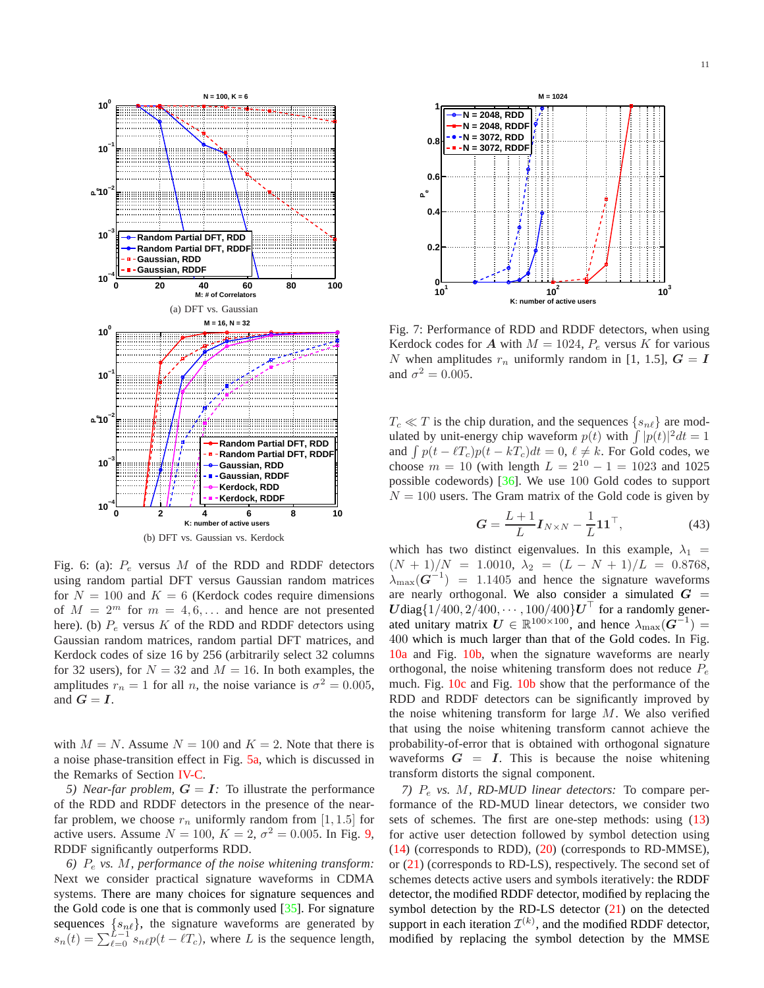<span id="page-10-3"></span><span id="page-10-2"></span>

(b) DFT vs. Gaussian vs. Kerdock

<span id="page-10-4"></span>Fig. 6: (a):  $P_e$  versus M of the RDD and RDDF detectors using random partial DFT versus Gaussian random matrices for  $N = 100$  and  $K = 6$  (Kerdock codes require dimensions of  $M = 2^m$  for  $m = 4, 6, \ldots$  and hence are not presented here). (b)  $P_e$  versus K of the RDD and RDDF detectors using Gaussian random matrices, random partial DFT matrices, and Kerdock codes of size 16 by 256 (arbitrarily select 32 columns for 32 users), for  $N = 32$  and  $M = 16$ . In both examples, the amplitudes  $r_n = 1$  for all *n*, the noise variance is  $\sigma^2 = 0.005$ , and  $G = I$ .

with  $M = N$ . Assume  $N = 100$  and  $K = 2$ . Note that there is a noise phase-transition effect in Fig. [5a,](#page-9-1) which is discussed in the Remarks of Section [IV-C.](#page-6-3)

<span id="page-10-1"></span>*5) Near-far problem,*  $G = I$ : To illustrate the performance of the RDD and RDDF detectors in the presence of the nearfar problem, we choose  $r_n$  uniformly random from [1, 1.5] for active users. Assume  $N = 100$ ,  $K = 2$ ,  $\sigma^2 = 0.005$ . In Fig. [9,](#page-11-0) RDDF significantly outperforms RDD.

<span id="page-10-0"></span>*6)* P<sup>e</sup> *vs.* M*, performance of the noise whitening transform:* Next we consider practical signature waveforms in CDMA systems. There are many choices for signature sequences and the Gold code is one that is commonly used  $[35]$ . For signature sequences  ${s_{n\ell}}$ , the signature waveforms are generated by  $s_n(t) = \sum_{\ell=0}^{L-1} s_{n\ell} p(t - \ell T_c)$ , where L is the sequence length,

<span id="page-10-5"></span>

Fig. 7: Performance of RDD and RDDF detectors, when using Kerdock codes for A with  $M = 1024$ ,  $P_e$  versus K for various N when amplitudes  $r_n$  uniformly random in [1, 1.5],  $G = I$ and  $\sigma^2 = 0.005$ .

 $T_c \ll T$  is the chip duration, and the sequences  $\{s_{n\ell}\}\$  are modulated by unit-energy chip waveform  $p(t)$  with  $\int |p(t)|^2 dt = 1$ and  $\int p(t - \ell T_c)p(t - kT_c)dt = 0$ ,  $\ell \neq k$ . For Gold codes, we choose  $m = 10$  (with length  $L = 2^{10} - 1 = 1023$  and 1025 possible codewords) [\[36\]](#page-16-22). We use 100 Gold codes to support  $N = 100$  users. The Gram matrix of the Gold code is given by

$$
G = \frac{L+1}{L} I_{N \times N} - \frac{1}{L} \mathbf{1} \mathbf{1}^{\top},\tag{43}
$$

which has two distinct eigenvalues. In this example,  $\lambda_1$  =  $(N + 1)/N = 1.0010, \ \lambda_2 = (L - N + 1)/L = 0.8768,$  $\lambda_{\text{max}}(G^{-1})$  = 1.1405 and hence the signature waveforms are nearly orthogonal. We also consider a simulated  $G =$  $U$ diag $\{1/400, 2/400, \cdots, 100/400\}$  $U^{\top}$  for a randomly generated unitary matrix  $U \in \mathbb{R}^{100 \times 100}$ , and hence  $\lambda_{\max}(G^{-1}) =$ 400 which is much larger than that of the Gold codes. In Fig. [10a](#page-11-1) and Fig. [10b,](#page-11-2) when the signature waveforms are nearly orthogonal, the noise whitening transform does not reduce  $P_e$ much. Fig. [10c](#page-11-3) and Fig. [10b](#page-11-2) show that the performance of the RDD and RDDF detectors can be significantly improved by the noise whitening transform for large  $M$ . We also verified that using the noise whitening transform cannot achieve the probability-of-error that is obtained with orthogonal signature waveforms  $G = I$ . This is because the noise whitening transform distorts the signal component.

*7)* P<sup>e</sup> *vs.* M*, RD-MUD linear detectors:* To compare performance of the RD-MUD linear detectors, we consider two sets of schemes. The first are one-step methods: using [\(13\)](#page-4-2) for active user detection followed by symbol detection using [\(14\)](#page-4-3) (corresponds to RDD), [\(20\)](#page-5-2) (corresponds to RD-MMSE), or [\(21\)](#page-5-3) (corresponds to RD-LS), respectively. The second set of schemes detects active users and symbols iteratively: the RDDF detector, the modified RDDF detector, modified by replacing the symbol detection by the RD-LS detector [\(21\)](#page-5-3) on the detected support in each iteration  $\mathcal{I}^{(k)}$ , and the modified RDDF detector, modified by replacing the symbol detection by the MMSE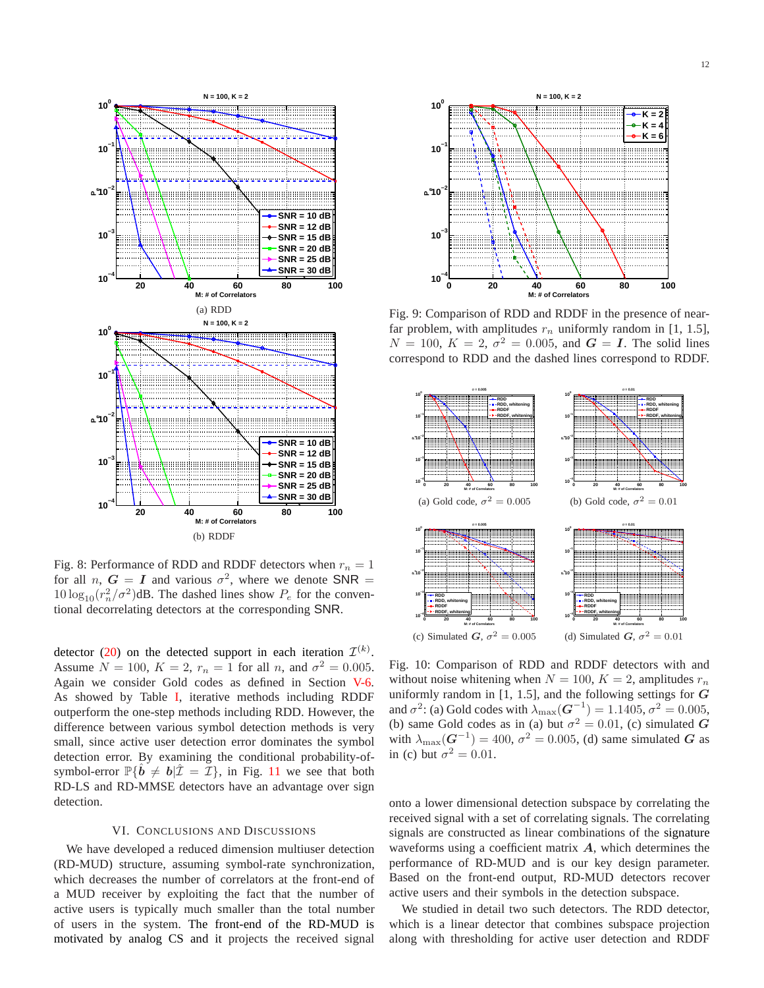

Fig. 8: Performance of RDD and RDDF detectors when  $r_n = 1$ for all *n*,  $G = I$  and various  $\sigma^2$ , where we denote SNR =  $10 \log_{10}(r_n^2/\sigma^2)$ dB. The dashed lines show  $P_e$  for the conventional decorrelating detectors at the corresponding SNR.

detector [\(20\)](#page-5-2) on the detected support in each iteration  $\mathcal{I}^{(k)}$ . Assume  $N = 100$ ,  $K = 2$ ,  $r_n = 1$  for all n, and  $\sigma^2 = 0.005$ . Again we consider Gold codes as defined in Section [V-6.](#page-10-0) As showed by Table [I,](#page-12-2) iterative methods including RDDF outperform the one-step methods including RDD. However, the difference between various symbol detection methods is very small, since active user detection error dominates the symbol detection error. By examining the conditional probability-ofsymbol-error  $\mathbb{P}\{\hat{b} \neq b | \hat{\mathcal{I}} = \mathcal{I}\}\$ , in Fig. [11](#page-12-3) we see that both RD-LS and RD-MMSE detectors have an advantage over sign detection.

### VI. CONCLUSIONS AND DISCUSSIONS

We have developed a reduced dimension multiuser detection (RD-MUD) structure, assuming symbol-rate synchronization, which decreases the number of correlators at the front-end of a MUD receiver by exploiting the fact that the number of active users is typically much smaller than the total number of users in the system. The front-end of the RD-MUD is motivated by analog CS and it projects the received signal

<span id="page-11-0"></span>

Fig. 9: Comparison of RDD and RDDF in the presence of nearfar problem, with amplitudes  $r_n$  uniformly random in [1, 1.5],  $N = 100$ ,  $K = 2$ ,  $\sigma^2 = 0.005$ , and  $G = I$ . The solid lines correspond to RDD and the dashed lines correspond to RDDF.

<span id="page-11-3"></span><span id="page-11-2"></span><span id="page-11-1"></span>

Fig. 10: Comparison of RDD and RDDF detectors with and without noise whitening when  $N = 100$ ,  $K = 2$ , amplitudes  $r_n$ uniformly random in  $[1, 1.5]$ , and the following settings for  $G$ and  $\sigma^2$ : (a) Gold codes with  $\lambda_{\text{max}}(G^{-1}) = 1.1405, \sigma^2 = 0.005$ , (b) same Gold codes as in (a) but  $\sigma^2 = 0.01$ , (c) simulated G with  $\lambda_{\text{max}}(G^{-1}) = 400$ ,  $\sigma^2 = 0.005$ , (d) same simulated G as in (c) but  $\sigma^2 = 0.01$ .

onto a lower dimensional detection subspace by correlating the received signal with a set of correlating signals. The correlating signals are constructed as linear combinations of the signature waveforms using a coefficient matrix  $\boldsymbol{A}$ , which determines the performance of RD-MUD and is our key design parameter. Based on the front-end output, RD-MUD detectors recover active users and their symbols in the detection subspace.

We studied in detail two such detectors. The RDD detector, which is a linear detector that combines subspace projection along with thresholding for active user detection and RDDF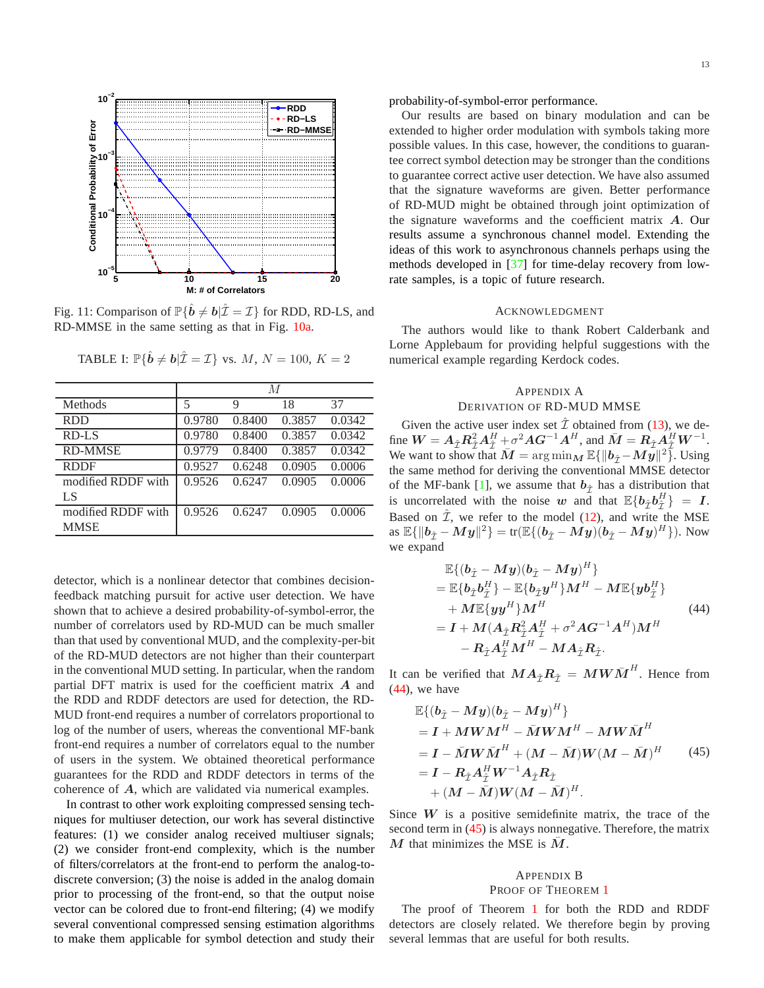<span id="page-12-3"></span>

<span id="page-12-2"></span>Fig. 11: Comparison of  $\mathbb{P}\{\hat{\boldsymbol{b}} \neq \boldsymbol{b} | \hat{\mathcal{I}} = \mathcal{I}\}$  for RDD, RD-LS, and RD-MMSE in the same setting as that in Fig. [10a.](#page-11-1)

| M      |        |        |        |
|--------|--------|--------|--------|
| 5      | 9      | 18     | 37     |
| 0.9780 | 0.8400 | 0.3857 | 0.0342 |
| 0.9780 | 0.8400 | 0.3857 | 0.0342 |
| 0.9779 | 0.8400 | 0.3857 | 0.0342 |
| 0.9527 | 0.6248 | 0.0905 | 0.0006 |
| 0.9526 | 0.6247 | 0.0905 | 0.0006 |
|        |        |        |        |
| 0.9526 | 0.6247 | 0.0905 | 0.0006 |
|        |        |        |        |
|        |        |        |        |

TABLE I:  $\mathbb{P}\{\hat{\boldsymbol{b}} \neq \boldsymbol{b} | \hat{\mathcal{I}} = \mathcal{I}\}$  vs.  $M, N = 100, K = 2$ 

detector, which is a nonlinear detector that combines decisionfeedback matching pursuit for active user detection. We have shown that to achieve a desired probability-of-symbol-error, the number of correlators used by RD-MUD can be much smaller than that used by conventional MUD, and the complexity-per-bit of the RD-MUD detectors are not higher than their counterpart in the conventional MUD setting. In particular, when the random partial DFT matrix is used for the coefficient matrix  $A$  and the RDD and RDDF detectors are used for detection, the RD-MUD front-end requires a number of correlators proportional to log of the number of users, whereas the conventional MF-bank front-end requires a number of correlators equal to the number of users in the system. We obtained theoretical performance guarantees for the RDD and RDDF detectors in terms of the coherence of A, which are validated via numerical examples.

In contrast to other work exploiting compressed sensing techniques for multiuser detection, our work has several distinctive features: (1) we consider analog received multiuser signals; (2) we consider front-end complexity, which is the number of filters/correlators at the front-end to perform the analog-todiscrete conversion; (3) the noise is added in the analog domain prior to processing of the front-end, so that the output noise vector can be colored due to front-end filtering; (4) we modify several conventional compressed sensing estimation algorithms to make them applicable for symbol detection and study their 13

probability-of-symbol-error performance.

Our results are based on binary modulation and can be extended to higher order modulation with symbols taking more possible values. In this case, however, the conditions to guarantee correct symbol detection may be stronger than the conditions to guarantee correct active user detection. We have also assumed that the signature waveforms are given. Better performance of RD-MUD might be obtained through joint optimization of the signature waveforms and the coefficient matrix A. Our results assume a synchronous channel model. Extending the ideas of this work to asynchronous channels perhaps using the methods developed in [\[37\]](#page-16-23) for time-delay recovery from lowrate samples, is a topic of future research.

#### ACKNOWLEDGMENT

The authors would like to thank Robert Calderbank and Lorne Applebaum for providing helpful suggestions with the numerical example regarding Kerdock codes.

# <span id="page-12-0"></span>APPENDIX A DERIVATION OF RD-MUD MMSE

Given the active user index set  $\hat{\mathcal{I}}$  obtained from [\(13\)](#page-4-2), we define  $W = A_{\hat{\mathcal{I}}} R_{\hat{\mathcal{I}}}^2 A_{\hat{\mathcal{I}}}^H + \sigma^2 A G^{-1} A^H$ , and  $\bar{M} = R_{\hat{\mathcal{I}}} A_{\hat{\mathcal{I}}}^H W^{-1}$ . We want to show that  $\bar{M} = \arg \min_{M} \mathbb{E}\{ ||b_{\hat{\mathcal{I}}} - M\tilde{\mathcal{Y}}||^2 \}$ . Using the same method for deriving the conventional MMSE detector of the MF-bank [\[1\]](#page-15-0), we assume that  $b_{\hat{\tau}}$  has a distribution that is uncorrelated with the noise w and that  $\mathbb{E}\{b_{\hat{\mathcal{I}}}b_{\hat{\mathcal{I}}}^H\} = I$ . Based on  $\hat{\mathcal{I}}$ , we refer to the model [\(12\)](#page-4-5), and write the MSE as  $\mathbb{E}\{\|\bm{b}_{\hat{\mathcal{I}}}-\bm{My}\|^2\} = \text{tr}(\mathbb{E}\{(\bm{b}_{\hat{\mathcal{I}}}-\bm{My})(\bm{b}_{\hat{\mathcal{I}}}-\bm{My})^H\}).$  Now we expand

<span id="page-12-4"></span>
$$
\mathbb{E}\{(b_{\hat{\mathcal{I}}}-My)(b_{\hat{\mathcal{I}}}-My)^{H}\}\n= \mathbb{E}\{b_{\hat{\mathcal{I}}}b_{\hat{\mathcal{I}}}^{H}\} - \mathbb{E}\{b_{\hat{\mathcal{I}}}y^{H}\}M^{H} - M\mathbb{E}\{yb_{\hat{\mathcal{I}}}^{H}\}\n+ M\mathbb{E}\{yy^{H}\}M^{H}\n= I + M(A_{\hat{\mathcal{I}}}R_{\hat{\mathcal{I}}}^{2}A_{\hat{\mathcal{I}}}^{H} + \sigma^{2}AG^{-1}A^{H})M^{H}\n- R_{\hat{\mathcal{I}}}A_{\hat{\mathcal{I}}}^{H}M^{H} - MA_{\hat{\mathcal{I}}}R_{\hat{\mathcal{I}}}.
$$
\n(44)

It can be verified that  $M A_{\hat{\mathcal{I}}} R_{\hat{\mathcal{I}}} = M W \bar{M}^H$ . Hence from [\(44\)](#page-12-4), we have

<span id="page-12-5"></span>
$$
\mathbb{E}\{(\mathbf{b}_{\hat{\mathcal{I}}}-M\mathbf{y})(\mathbf{b}_{\hat{\mathcal{I}}}-M\mathbf{y})^{H}\}\
$$
\n
$$
= \mathbf{I} + M\mathbf{W}\mathbf{M}^{H} - \bar{M}\mathbf{W}\mathbf{M}^{H} - M\mathbf{W}\bar{\mathbf{M}}^{H}
$$
\n
$$
= \mathbf{I} - \bar{M}\mathbf{W}\bar{\mathbf{M}}^{H} + (\mathbf{M} - \bar{\mathbf{M}})\mathbf{W}(\mathbf{M} - \bar{\mathbf{M}})^{H} \qquad (45)
$$
\n
$$
= \mathbf{I} - \mathbf{R}_{\hat{\mathcal{I}}}\mathbf{A}_{\hat{\mathcal{I}}}^{H}\mathbf{W}^{-1}\mathbf{A}_{\hat{\mathcal{I}}}\mathbf{R}_{\hat{\mathcal{I}}} + (\mathbf{M} - \bar{\mathbf{M}})\mathbf{W}(\mathbf{M} - \bar{\mathbf{M}})^{H}.
$$

Since  $W$  is a positive semidefinite matrix, the trace of the second term in [\(45\)](#page-12-5) is always nonnegative. Therefore, the matrix M that minimizes the MSE is  $\overline{M}$ .

# <span id="page-12-1"></span>APPENDIX B PROOF OF THEOREM [1](#page-7-0)

The proof of Theorem [1](#page-7-0) for both the RDD and RDDF detectors are closely related. We therefore begin by proving several lemmas that are useful for both results.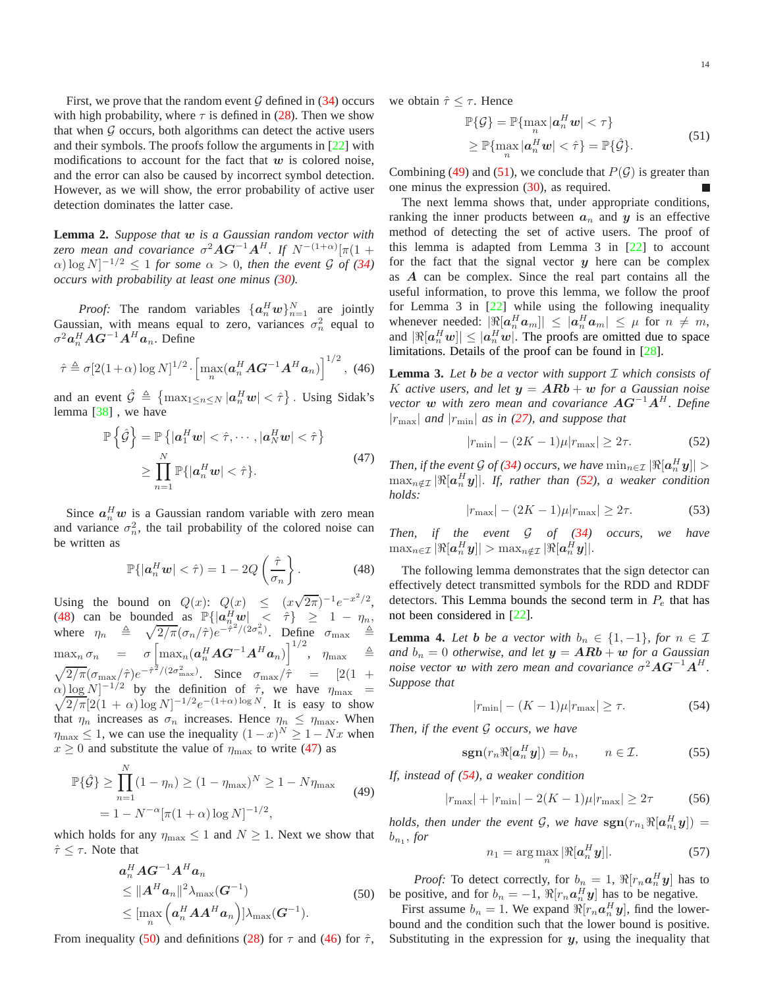First, we prove that the random event  $G$  defined in [\(34\)](#page-7-7) occurs with high probability, where  $\tau$  is defined in [\(28\)](#page-7-4). Then we show that when  $G$  occurs, both algorithms can detect the active users and their symbols. The proofs follow the arguments in [\[22\]](#page-16-8) with modifications to account for the fact that  $w$  is colored noise, and the error can also be caused by incorrect symbol detection. However, as we will show, the error probability of active user detection dominates the latter case.

<span id="page-13-11"></span>**Lemma 2.** *Suppose that* w *is a Gaussian random vector with zero mean and covariance*  $\sigma^2 \mathbf{A} \mathbf{G}^{-1} \mathbf{A}^H$ . If  $N^{-(1+\alpha)}[\pi(1+\alpha)]$  $\alpha$ ) log N]<sup>-1/2</sup>  $\leq$  1 *for some*  $\alpha$  > 0*, then the event* G *of* [\(34\)](#page-7-7) *occurs with probability at least one minus [\(30\)](#page-7-2).*

*Proof:* The random variables  $\{a_n^H w\}_{n=1}^N$  are jointly Gaussian, with means equal to zero, variances  $\sigma_n^2$  equal to  $\sigma^2 a_n^H A G^{-1} A^H a_n$ . Define

<span id="page-13-3"></span>
$$
\hat{\tau} \triangleq \sigma [2(1+\alpha)\log N]^{1/2} \cdot \left[\max_n (\boldsymbol{a}_n^H \boldsymbol{A} \boldsymbol{G}^{-1} \boldsymbol{A}^H \boldsymbol{a}_n)\right]^{1/2}, \tag{46}
$$

and an event  $\hat{G} \triangleq \{ \max_{1 \le n \le N} |\boldsymbol{a}_n^H \boldsymbol{w}| < \hat{\tau} \}$ . Using Sidak's lemma [\[38\]](#page-16-24) , we have

$$
\mathbb{P}\left\{\hat{\mathcal{G}}\right\} = \mathbb{P}\left\{|\boldsymbol{a}_1^H \boldsymbol{w}| < \hat{\tau}, \cdots, |\boldsymbol{a}_N^H \boldsymbol{w}| < \hat{\tau}\right\}
$$
\n
$$
\geq \prod_{n=1}^N \mathbb{P}\{|\boldsymbol{a}_n^H \boldsymbol{w}| < \hat{\tau}\}.
$$
\n(47)

<span id="page-13-1"></span>Since  $a_n^H w$  is a Gaussian random variable with zero mean and variance  $\sigma_n^2$ , the tail probability of the colored noise can be written as

<span id="page-13-0"></span>
$$
\mathbb{P}\{|a_n^H w| < \hat{\tau}\} = 1 - 2Q\left(\frac{\hat{\tau}}{\sigma_n}\right). \tag{48}
$$

Using the bound on  $Q(x)$ :  $Q(x) \le (x\sqrt{2\pi})^{-1}e^{-x^2/2}$ , [\(48\)](#page-13-0) can be bounded as  $\mathbb{P}\{\left|a_n^H w\right| \leq \hat{\tau}\}\geq 1 - \eta_n$ where  $\eta_n \triangleq \sqrt{2/\pi} (\sigma_n/\hat{\tau}) e^{-\hat{\tau}^2/(2\sigma_n^2)}$ . Define  $\sigma_{\text{max}} \triangleq$  $\max_n \sigma_n$  =  $\sigma \left[\max_n (\boldsymbol{a}_n^H \boldsymbol{A} \boldsymbol{G}^{-1} \boldsymbol{A}^H \boldsymbol{a}_n)\right]^{1/2},$   $\eta_{\max}$   $\triangleq$  $\sqrt{2/\pi}(\sigma_{\text{max}}/\hat{\tau})e^{-\hat{\tau}^2/(2\sigma_{\text{max}}^2)}$ . Since  $\sigma_{\text{max}}/\hat{\tau}$  = [2(1 +  $\alpha) \log N$ ]<sup>-1/2</sup>  $\sqrt{}$ by the definition of  $\hat{\tau}$ , we have  $\eta_{\text{max}}$  =  $\sqrt{2/\pi} [2(1+\alpha)\log N]^{-1/2} e^{-(1+\alpha)\log N}$ . It is easy to show that  $\eta_n$  increases as  $\sigma_n$  increases. Hence  $\eta_n \leq \eta_{\text{max}}$ . When  $\eta_{\text{max}} \leq 1$ , we can use the inequality  $(1-x)^N \geq 1 - Nx$  when  $x \ge 0$  and substitute the value of  $\eta_{\text{max}}$  to write [\(47\)](#page-13-1) as

<span id="page-13-4"></span>
$$
\mathbb{P}\{\hat{G}\} \ge \prod_{n=1}^{N} (1 - \eta_n) \ge (1 - \eta_{\text{max}})^N \ge 1 - N\eta_{\text{max}}
$$
\n
$$
= 1 - N^{-\alpha} [\pi(1 + \alpha) \log N]^{-1/2},
$$
\n(49)

which holds for any  $\eta_{\text{max}} \leq 1$  and  $N \geq 1$ . Next we show that  $\hat{\tau} \leq \tau$ . Note that

$$
a_n^H A G^{-1} A^H a_n
$$
  
\n
$$
\leq \|A^H a_n\|^2 \lambda_{\max}(G^{-1})
$$
  
\n
$$
\leq [\max_n \left(a_n^H A A^H a_n\right)] \lambda_{\max}(G^{-1}).
$$
\n(50)

<span id="page-13-2"></span>From inequality [\(50\)](#page-13-2) and definitions [\(28\)](#page-7-4) for  $\tau$  and [\(46\)](#page-13-3) for  $\hat{\tau}$ ,

<span id="page-13-5"></span>we obtain  $\hat{\tau} \leq \tau$ . Hence

$$
\mathbb{P}\{\mathcal{G}\} = \mathbb{P}\{\max_{n} |a_{n}^{H}w| < \tau\} \\
\geq \mathbb{P}\{\max_{n} |a_{n}^{H}w| < \hat{\tau}\} = \mathbb{P}\{\hat{\mathcal{G}}\}.
$$
\n
$$
(51)
$$

Combining [\(49\)](#page-13-4) and [\(51\)](#page-13-5), we conclude that  $P(G)$  is greater than one minus the expression [\(30\)](#page-7-2), as required.

The next lemma shows that, under appropriate conditions, ranking the inner products between  $a_n$  and y is an effective method of detecting the set of active users. The proof of this lemma is adapted from Lemma  $3$  in  $[22]$  to account for the fact that the signal vector  $y$  here can be complex as A can be complex. Since the real part contains all the useful information, to prove this lemma, we follow the proof for Lemma 3 in  $[22]$  while using the following inequality whenever needed:  $|\Re[a_n^H a_m]| \leq |a_n^H a_m| \leq \mu$  for  $n \neq m$ , and  $|\Re[a_n^H w]| \le |a_n^H w|$ . The proofs are omitted due to space limitations. Details of the proof can be found in [\[28\]](#page-16-14).

<span id="page-13-12"></span>**Lemma 3.** *Let* b *be a vector with support* I *which consists of* K active users, and let  $y = ARb + w$  for a Gaussian noise *vector* w *with zero mean and covariance* AG<sup>−</sup><sup>1</sup>A<sup>H</sup>*. Define*  $|r_{\text{max}}|$  *and*  $|r_{\text{min}}|$  *as in* [\(27\)](#page-6-4)*, and suppose that* 

<span id="page-13-6"></span>
$$
|r_{\min}| - (2K - 1)\mu |r_{\max}| \ge 2\tau.
$$
 (52)

*Then, if the event G of [\(34\)](#page-7-7) occurs, we have*  $\min_{n \in \mathcal{I}} |\Re[a_n^H y]| >$  $\max_{n \notin \mathcal{I}} |\Re[\boldsymbol{a}_n^H \boldsymbol{y}]|$ . If, rather than [\(52\)](#page-13-6), a weaker condition *holds:*

<span id="page-13-14"></span>
$$
|r_{\text{max}}| - (2K - 1)\mu |r_{\text{max}}| \ge 2\tau.
$$
 (53)

*Then, if the event* G *of [\(34\)](#page-7-7) occurs, we have*  $\max_{n\in\mathcal{I}}|\Re[\boldsymbol{a}_n^H\boldsymbol{y}]|>\max_{n\notin\mathcal{I}}|\Re[\boldsymbol{a}_n^H\boldsymbol{y}]|.$ 

The following lemma demonstrates that the sign detector can effectively detect transmitted symbols for the RDD and RDDF detectors. This Lemma bounds the second term in  $P_e$  that has not been considered in [\[22\]](#page-16-8).

<span id="page-13-13"></span>**Lemma 4.** Let **b** be a vector with  $b_n \in \{1, -1\}$ , for  $n \in \mathcal{I}$ *and*  $b_n = 0$  *otherwise, and let*  $y = ARb + w$  *for a Gaussian noise vector*  $w$  *with zero mean and covariance*  $\sigma^2 A G^{-1} A^H$ . *Suppose that*

<span id="page-13-7"></span>
$$
|r_{\min}| - (K - 1)\mu |r_{\max}| \ge \tau. \tag{54}
$$

*Then, if the event* G *occurs, we have*

<span id="page-13-8"></span>
$$
\operatorname{sgn}(r_n \Re[a_n^H y]) = b_n, \qquad n \in \mathcal{I}.
$$
 (55)

*If, instead of [\(54\)](#page-13-7), a weaker condition*

<span id="page-13-10"></span>
$$
|r_{\text{max}}| + |r_{\text{min}}| - 2(K - 1)\mu |r_{\text{max}}| \ge 2\tau
$$
 (56)

*holds, then under the event G, we have*  $sgn(r_{n_1}\Re[a_{n_1}^H y]) =$  $b_{n_1}$ , *for* 

<span id="page-13-9"></span>
$$
n_1 = \arg\max_n |\Re[a_n^H \mathbf{y}]|.
$$
 (57)

*Proof:* To detect correctly, for  $b_n = 1$ ,  $\Re[r_n a_n^H y]$  has to be positive, and for  $b_n = -1$ ,  $\Re[r_n \mathbf{a}_n^H \mathbf{y}]$  has to be negative.

First assume  $b_n = 1$ . We expand  $\Re[r_n a_n^H y]$ , find the lowerbound and the condition such that the lower bound is positive. Substituting in the expression for  $y$ , using the inequality that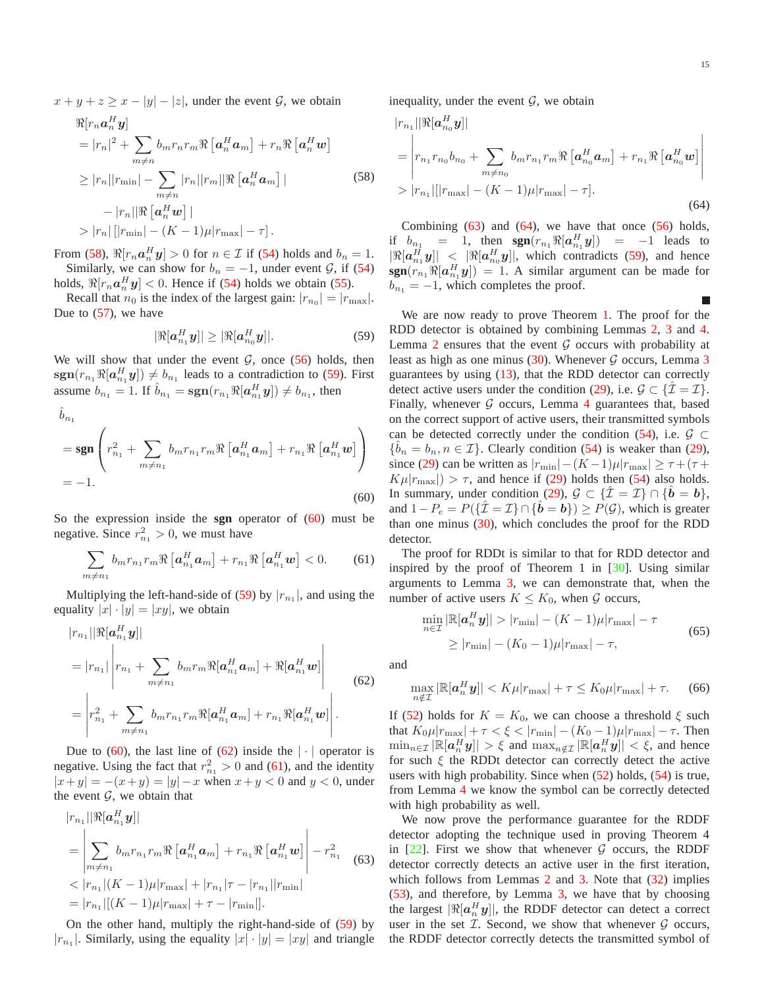L

 $x + y + z \geq x - |y| - |z|$ , under the event  $\mathcal{G}$ , we obtain

<span id="page-14-0"></span>
$$
\mathcal{R}[r_n \mathbf{a}_n^H \mathbf{y}]
$$
\n
$$
= |r_n|^2 + \sum_{m \neq n} b_m r_n r_m \mathcal{R} [\mathbf{a}_n^H \mathbf{a}_m] + r_n \mathcal{R} [\mathbf{a}_n^H \mathbf{w}]
$$
\n
$$
\geq |r_n||r_{\min}| - \sum_{m \neq n} |r_n||r_m|| \mathcal{R} [\mathbf{a}_n^H \mathbf{a}_m] |
$$
\n
$$
- |r_n|| \mathcal{R} [\mathbf{a}_n^H \mathbf{w}] |
$$
\n
$$
> |r_n| \left[ |r_{\min}| - (K - 1)\mu |r_{\max}| - \tau \right].
$$
\n(58)

From [\(58\)](#page-14-0),  $\Re[r_n a_n^H y] > 0$  for  $n \in \mathcal{I}$  if [\(54\)](#page-13-7) holds and  $b_n = 1$ . Similarly, we can show for  $b_n = -1$ , under event  $\mathcal{G}$ , if [\(54\)](#page-13-7) holds,  $\Re[r_n a_n^H y] < 0$ . Hence if [\(54\)](#page-13-7) holds we obtain [\(55\)](#page-13-8).

Recall that  $n_0$  is the index of the largest gain:  $|r_{n_0}| = |r_{\text{max}}|$ . Due to [\(57\)](#page-13-9), we have

<span id="page-14-1"></span>
$$
|\Re[a_{n_1}^H y]| \geq |\Re[a_{n_0}^H y]|. \tag{59}
$$

We will show that under the event  $G$ , once [\(56\)](#page-13-10) holds, then  $sgn(r_{n_1}\Re[a_{n_1}^H y]) \neq b_{n_1}$  leads to a contradiction to [\(59\)](#page-14-1). First assume  $b_{n_1} = 1$ . If  $\hat{b}_{n_1} = \text{sgn}(r_{n_1} \Re[a_{n_1}^H y]) \neq b_{n_1}$ , then

<span id="page-14-2"></span>
$$
\hat{b}_{n_1}
$$
\n
$$
= \operatorname{sgn}\left(r_{n_1}^2 + \sum_{m \neq n_1} b_m r_{n_1} r_m \Re\left[a_{n_1}^H a_m\right] + r_{n_1} \Re\left[a_{n_1}^H w\right]\right)
$$
\n
$$
= -1.
$$
\n(60)

So the expression inside the **sgn** operator of [\(60\)](#page-14-2) must be negative. Since  $r_{n_1}^2 > 0$ , we must have

<span id="page-14-4"></span>
$$
\sum_{m \neq n_1} b_m r_{n_1} r_m \Re \left[ \boldsymbol{a}_{n_1}^H \boldsymbol{a}_m \right] + r_{n_1} \Re \left[ \boldsymbol{a}_{n_1}^H \boldsymbol{w} \right] < 0. \tag{61}
$$

Multiplying the left-hand-side of [\(59\)](#page-14-1) by  $|r_{n_1}|$ , and using the equality  $|x| \cdot |y| = |xy|$ , we obtain

<span id="page-14-3"></span>
$$
|r_{n_1}||\Re[\mathbf{a}_{n_1}^H \mathbf{y}]|
$$
  
=  $|r_{n_1}| \left| r_{n_1} + \sum_{m \neq n_1} b_m r_m \Re[\mathbf{a}_{n_1}^H \mathbf{a}_m] + \Re[\mathbf{a}_{n_1}^H \mathbf{w}] \right|$   
=  $\left| r_{n_1}^2 + \sum_{m \neq n_1} b_m r_{n_1} r_m \Re[\mathbf{a}_{n_1}^H \mathbf{a}_m] + r_{n_1} \Re[\mathbf{a}_{n_1}^H \mathbf{w}] \right|$ . (62)

Due to [\(60\)](#page-14-2), the last line of [\(62\)](#page-14-3) inside the  $|\cdot|$  operator is negative. Using the fact that  $r_{n_1}^2 > 0$  and [\(61\)](#page-14-4), and the identity  $|x+y| = -(x+y) = |y| - x$  when  $x+y < 0$  and  $y < 0$ , under the event  $G$ , we obtain that

<span id="page-14-5"></span>
$$
|r_{n_1}||\Re[\mathbf{a}_{n_1}^H \mathbf{y}]|
$$
  
= 
$$
\left| \sum_{m \neq n_1} b_m r_{n_1} r_m \Re[\mathbf{a}_{n_1}^H \mathbf{a}_m] + r_{n_1} \Re[\mathbf{a}_{n_1}^H \mathbf{w}] \right| - r_{n_1}^2
$$
  
< 
$$
\langle r_{n_1} | (K-1)\mu | r_{\text{max}} | + |r_{n_1}| \tau - |r_{n_1}| |r_{\text{min}} |
$$
  
= 
$$
|r_{n_1}| [(K-1)\mu | r_{\text{max}} | + \tau - |r_{\text{min}}|].
$$
 (63)

On the other hand, multiply the right-hand-side of [\(59\)](#page-14-1) by  $|r_{n_1}|$ . Similarly, using the equality  $|x| \cdot |y| = |xy|$  and triangle inequality, under the event  $G$ , we obtain

<span id="page-14-6"></span>
$$
|r_{n_1}||\Re[\mathbf{a}_{n_0}^H \mathbf{y}]|
$$
  
=  $\begin{vmatrix} r_{n_1}r_{n_0}b_{n_0} + \sum_{m \neq n_0} b_m r_{n_1}r_m \Re[\mathbf{a}_{n_0}^H \mathbf{a}_m] + r_{n_1} \Re[\mathbf{a}_{n_0}^H \mathbf{w}] \end{vmatrix}$   
>  $|r_{n_1}|[|r_{\max}| - (K - 1)\mu |r_{\max}| - \tau].$  (64)

Combining  $(63)$  and  $(64)$ , we have that once  $(56)$  holds, if  $b_{n_1} = 1$ , then  $sgn(r_{n_1} \Re[a_{n_1}^H y]) = -1$  leads to  $|\Re[a_{n_1}^H y]| < |\Re[a_{n_0}^H y]|$ , which contradicts [\(59\)](#page-14-1), and hence  $sgn(r_{n_1}\Re[a_{n_1}^H y]) = 1$ . A similar argument can be made for  $b_{n_1} = -1$ , which completes the proof.

We are now ready to prove Theorem [1.](#page-7-0) The proof for the RDD detector is obtained by combining Lemmas [2,](#page-13-11) [3](#page-13-12) and [4.](#page-13-13) Lemma [2](#page-13-11) ensures that the event  $G$  occurs with probability at least as high as one minus  $(30)$  $(30)$  $(30)$ . Whenever G occurs, Lemma 3 guarantees by using [\(13\)](#page-4-2), that the RDD detector can correctly detect active users under the condition [\(29\)](#page-7-1), i.e.  $\mathcal{G} \subset \{ \mathcal{I} = \mathcal{I} \}.$ Finally, whenever  $G$  occurs, Lemma [4](#page-13-13) guarantees that, based on the correct support of active users, their transmitted symbols can be detected correctly under the condition [\(54\)](#page-13-7), i.e.  $\mathcal{G} \subset$  $\{\hat{b}_n = b_n, n \in \mathcal{I}\}$ . Clearly condition [\(54\)](#page-13-7) is weaker than [\(29\)](#page-7-1), since [\(29\)](#page-7-1) can be written as  $|r_{\text{min}}|-(K-1)\mu|r_{\text{max}}| \ge \tau + (\tau +$  $K\mu|r_{\text{max}}| > \tau$ , and hence if [\(29\)](#page-7-1) holds then [\(54\)](#page-13-7) also holds. In summary, under condition [\(29\)](#page-7-1),  $\mathcal{G} \subset \{ \mathcal{I} = \mathcal{I} \} \cap \{ \mathbf{b} = \mathbf{b} \},\$ and  $1-P_e = P(\{\hat{\mathcal{I}} = \mathcal{I}\} \cap {\{\hat{b} = b\}}) \ge P(\mathcal{G})$ , which is greater than one minus [\(30\)](#page-7-2), which concludes the proof for the RDD detector.

The proof for RDDt is similar to that for RDD detector and inspired by the proof of Theorem 1 in [\[30\]](#page-16-16). Using similar arguments to Lemma [3,](#page-13-12) we can demonstrate that, when the number of active users  $K \leq K_0$ , when  $\mathcal G$  occurs,

$$
\min_{n \in \mathcal{I}} |\mathbb{R}[a_n^H y]| > |r_{\min}| - (K - 1)\mu |r_{\max}| - \tau
$$
\n
$$
\ge |r_{\min}| - (K_0 - 1)\mu |r_{\max}| - \tau,
$$
\n(65)

and

$$
\max_{n \notin \mathcal{I}} |\mathbb{R}[a_n^H y]| < K\mu |r_{\text{max}}| + \tau \le K_0 \mu |r_{\text{max}}| + \tau. \tag{66}
$$

If [\(52\)](#page-13-6) holds for  $K = K_0$ , we can choose a threshold  $\xi$  such that  $K_0\mu|r_{\text{max}}| + \tau < \xi < |r_{\text{min}}| - (K_0 - 1)\mu|r_{\text{max}}| - \tau$ . Then  $\min_{n \in \mathcal{I}} |\mathbb{R}[a_n^H y]| > \xi$  and  $\max_{n \notin \mathcal{I}} |\mathbb{R}[a_n^H y]| < \xi$ , and hence for such  $\xi$  the RDDt detector can correctly detect the active users with high probability. Since when  $(52)$  holds,  $(54)$  is true, from Lemma [4](#page-13-13) we know the symbol can be correctly detected with high probability as well.

We now prove the performance guarantee for the RDDF detector adopting the technique used in proving Theorem 4 in  $[22]$ . First we show that whenever G occurs, the RDDF detector correctly detects an active user in the first iteration, which follows from Lemmas [2](#page-13-11) and [3.](#page-13-12) Note that  $(32)$  implies [\(53\)](#page-13-14), and therefore, by Lemma [3,](#page-13-12) we have that by choosing the largest  $|\Re[a_n^H y]|$ , the RDDF detector can detect a correct user in the set  $I$ . Second, we show that whenever  $G$  occurs, the RDDF detector correctly detects the transmitted symbol of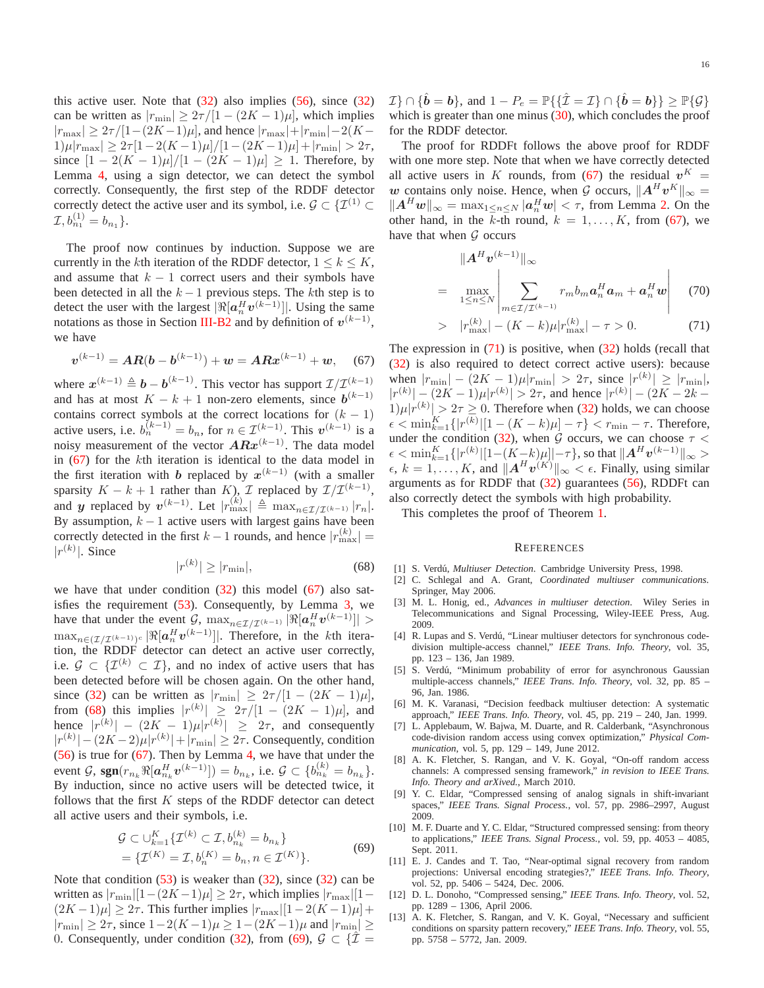this active user. Note that  $(32)$  also implies  $(56)$ , since  $(32)$ can be written as  $|r_{\text{min}}| \geq 2\tau/[1-(2K-1)\mu]$ , which implies  $|r_{\text{max}}| \geq 2\tau/[1-(2K-1)\mu]$ , and hence  $|r_{\text{max}}| + |r_{\text{min}}| - 2(K-1)\mu$  $1)\mu|r_{\text{max}}| \geq 2\tau[1-2(K-1)\mu]/[1-(2K-1)\mu]+|r_{\text{min}}| > 2\tau,$ since  $[1 - 2(K - 1)\mu]/[1 - (2K - 1)\mu] \ge 1$ . Therefore, by Lemma [4,](#page-13-13) using a sign detector, we can detect the symbol correctly. Consequently, the first step of the RDDF detector correctly detect the active user and its symbol, i.e.  $\mathcal{G} \subset \{ \mathcal{I}^{(1)} \subset \mathcal{I}^{(2)} \}$  $\mathcal{I}, b_{n_1}^{(1)} = b_{n_1}$ .

The proof now continues by induction. Suppose we are currently in the kth iteration of the RDDF detector,  $1 \leq k \leq K$ , and assume that  $k - 1$  correct users and their symbols have been detected in all the  $k - 1$  previous steps. The kth step is to detect the user with the largest  $|\Re[a_n^H v^{(k-1)}]|$ . Using the same notations as those in Section [III-B2](#page-4-7) and by definition of  $v^{(k-1)}$ , we have

<span id="page-15-13"></span>
$$
v^{(k-1)} = AR(b - b^{(k-1)}) + w = ARx^{(k-1)} + w,
$$
 (67)

where  $x^{(k-1)} \triangleq b - b^{(k-1)}$ . This vector has support  $\mathcal{I}/\mathcal{I}^{(k-1)}$ and has at most  $K - k + 1$  non-zero elements, since  $b^{(k-1)}$ contains correct symbols at the correct locations for  $(k - 1)$ active users, i.e.  $b_n^{(k-1)} = b_n$ , for  $n \in \mathcal{I}^{(k-1)}$ . This  $v^{(k-1)}$  is a noisy measurement of the vector  $ARx^{(k-1)}$ . The data model in [\(67\)](#page-15-13) for the kth iteration is identical to the data model in the first iteration with b replaced by  $x^{(k-1)}$  (with a smaller sparsity  $K - k + 1$  rather than  $K$ ),  $\mathcal{I}$  replaced by  $\mathcal{I}/\mathcal{I}^{(k-1)}$ , and y replaced by  $v^{(k-1)}$ . Let  $|r_{\max}^{(k)}| \triangleq \max_{n \in \mathcal{I}/\mathcal{I}^{(k-1)}} |r_n|$ . By assumption,  $k - 1$  active users with largest gains have been correctly detected in the first  $k-1$  rounds, and hence  $|r_{\text{max}}^{(k)}| =$  $|r^{(k)}|$ . Since  $k$ 

<span id="page-15-14"></span>
$$
|r^{(k)}| \ge |r_{\min}|,\tag{68}
$$

we have that under condition [\(32\)](#page-7-3) this model [\(67\)](#page-15-13) also satisfies the requirement  $(53)$ . Consequently, by Lemma [3,](#page-13-12) we have that under the event  $\mathcal{G}$ ,  $\max_{n \in \mathcal{I}/\mathcal{I}^{(k-1)}} |\Re[a_n^H v^{(k-1)}]| >$  $\max_{n \in (\mathcal{I}/\mathcal{I}^{(k-1)})^c} |\Re[a_n^H \boldsymbol{v}^{(k-1)}]|.$  Therefore, in the *k*th iteration, the RDDF detector can detect an active user correctly, i.e.  $\mathcal{G} \subset \{ \mathcal{I}^{(k)} \subset \mathcal{I} \}$ , and no index of active users that has been detected before will be chosen again. On the other hand, since [\(32\)](#page-7-3) can be written as  $|r_{\text{min}}| \geq 2\tau/[1-(2K-1)\mu],$ from [\(68\)](#page-15-14) this implies  $|r^{(k)}| \ge 2\tau/[1-(2K-1)\mu]$ , and hence  $|r^{(k)}| - (2K - 1)\mu |r^{(k)}| \geq 2\tau$ , and consequently  $|r^{(k)}| - (2K-2)\mu|r^{(k)}| + |r_{\min}| \ge 2\tau$ . Consequently, condition [\(56\)](#page-13-10) is true for [\(67\)](#page-15-13). Then by Lemma [4,](#page-13-13) we have that under the event  $\mathcal{G}$ ,  $sgn(r_{n_k} \Re[a_{n_k}^H v^{(k-1)}]) = b_{n_k}$ , i.e.  $\mathcal{G} \subset \{b_{n_k}^{(k)} = b_{n_k}\}.$ By induction, since no active users will be detected twice, it follows that the first  $K$  steps of the RDDF detector can detect all active users and their symbols, i.e.

$$
\mathcal{G} \subset \cup_{k=1}^{K} \{ \mathcal{I}^{(k)} \subset \mathcal{I}, b_{n_k}^{(k)} = b_{n_k} \}
$$
\n
$$
= \{ \mathcal{I}^{(K)} = \mathcal{I}, b_{n}^{(K)} = b_{n}, n \in \mathcal{I}^{(K)} \}.
$$
\n(69)

<span id="page-15-15"></span>Note that condition  $(53)$  is weaker than  $(32)$ , since  $(32)$  can be written as  $|r_{\text{min}}|[1-(2K-1)\mu] \geq 2\tau$ , which implies  $|r_{\text{max}}|[1-\tau|]$  $(2K-1)\mu$  ≥ 2 $\tau$ . This further implies  $|r_{\text{max}}|[1-2(K-1)\mu]+$  $|r_{\text{min}}| \geq 2\tau$ , since  $1-2(K-1)\mu \geq 1-(2K-1)\mu$  and  $|r_{\text{min}}| \geq$ 0. Consequently, under condition [\(32\)](#page-7-3), from [\(69\)](#page-15-15),  $\mathcal{G} \subset \{ \hat{\mathcal{I}} \}$ 

The proof for RDDFt follows the above proof for RDDF with one more step. Note that when we have correctly detected all active users in K rounds, from [\(67\)](#page-15-13) the residual  $v^{K} =$ w contains only noise. Hence, when G occurs,  $||A^H v^K||_{\infty} =$  $||A^H w||_{\infty} = \max_{1 \le n \le N} |a_n^H w| < \tau$ , from Lemma [2.](#page-13-11) On the other hand, in the  $\overline{k}$ -th round,  $k = 1, ..., K$ , from [\(67\)](#page-15-13), we have that when  $G$  occurs

<span id="page-15-16"></span>
$$
||A^H v^{(k-1)}||_{\infty}
$$
  
= 
$$
\max_{1 \le n \le N} \left| \sum_{m \in \mathcal{I}/\mathcal{I}^{(k-1)}} r_m b_m a_n^H a_m + a_n^H w \right|
$$
 (70)

> 
$$
|r_{\text{max}}^{(k)}| - (K - k)\mu |r_{\text{max}}^{(k)}| - \tau > 0.
$$
 (71)

The expression in  $(71)$  is positive, when  $(32)$  holds (recall that [\(32\)](#page-7-3) is also required to detect correct active users): because when  $|r_{\min}| - (2K - 1)\mu |r_{\min}| > 2\tau$ , since  $|r^{(k)}| \ge |r_{\min}|$ ,  $|r^{(k)}| - (2K - 1)\mu|r^{(k)}| > 2\tau$ , and hence  $|r^{(k)}| - (2K - 2k 1)\mu|r^{(k)}| > 2\tau \geq 0$ . Therefore when [\(32\)](#page-7-3) holds, we can choose  $\epsilon < \min_{k=1}^K \{|r^{(k)}| [1 - (K - k)\mu] - \tau\} < r_{\min} - \tau$ . Therefore, under the condition [\(32\)](#page-7-3), when G occurs, we can choose  $\tau$  <  $\epsilon < \min_{k=1}^K \{|r^{(k)}| [1-(K-k)\mu]|-\tau\}$ , so that  $\|A^H v^{(k-1)}\|_{\infty} >$  $\epsilon, k = 1, \ldots, K$ , and  $||A^H v^{(K)}||_{\infty} < \epsilon$ . Finally, using similar arguments as for RDDF that [\(32\)](#page-7-3) guarantees [\(56\)](#page-13-10), RDDFt can also correctly detect the symbols with high probability.

This completes the proof of Theorem [1.](#page-7-0)

#### **REFERENCES**

- <span id="page-15-1"></span><span id="page-15-0"></span>[1] S. Verdú, *Multiuser Detection*. Cambridge University Press, 1998.
- [2] C. Schlegal and A. Grant, *Coordinated multiuser communications*. Springer, May 2006.
- <span id="page-15-2"></span>[3] M. L. Honig, ed., *Advances in multiuser detection*. Wiley Series in Telecommunications and Signal Processing, Wiley-IEEE Press, Aug. 2009.
- <span id="page-15-3"></span>[4] R. Lupas and S. Verdú, "Linear multiuser detectors for synchronous codedivision multiple-access channel," *IEEE Trans. Info. Theory*, vol. 35, pp. 123 – 136, Jan 1989.
- <span id="page-15-4"></span>[5] S. Verdú, "Minimum probability of error for asynchronous Gaussian multiple-access channels," *IEEE Trans. Info. Theory*, vol. 32, pp. 85 – 96, Jan. 1986.
- <span id="page-15-5"></span>[6] M. K. Varanasi, "Decision feedback multiuser detection: A systematic approach," *IEEE Trans. Info. Theory*, vol. 45, pp. 219 – 240, Jan. 1999.
- <span id="page-15-6"></span>[7] L. Applebaum, W. Bajwa, M. Duarte, and R. Calderbank, "Asynchronous code-division random access using convex optimization," *Physical Communication*, vol. 5, pp. 129 – 149, June 2012.
- <span id="page-15-7"></span>[8] A. K. Fletcher, S. Rangan, and V. K. Goyal, "On-off random access channels: A compressed sensing framework," *in revision to IEEE Trans. Info. Theory and arXived.*, March 2010.
- <span id="page-15-8"></span>[9] Y. C. Eldar, "Compressed sensing of analog signals in shift-invariant spaces," *IEEE Trans. Signal Process.*, vol. 57, pp. 2986–2997, August 2009.
- <span id="page-15-9"></span>[10] M. F. Duarte and Y. C. Eldar, "Structured compressed sensing: from theory to applications," *IEEE Trans. Signal Process.*, vol. 59, pp. 4053 – 4085, Sept. 2011.
- <span id="page-15-10"></span>[11] E. J. Candes and T. Tao, "Near-optimal signal recovery from random projections: Universal encoding strategies?," *IEEE Trans. Info. Theory*, vol. 52, pp. 5406 – 5424, Dec. 2006.
- <span id="page-15-11"></span>[12] D. L. Donoho, "Compressed sensing," *IEEE Trans. Info. Theory*, vol. 52, pp. 1289 – 1306, April 2006.
- <span id="page-15-12"></span>[13] A. K. Fletcher, S. Rangan, and V. K. Goyal, "Necessary and sufficient conditions on sparsity pattern recovery," *IEEE Trans. Info. Theory*, vol. 55, pp. 5758 – 5772, Jan. 2009.